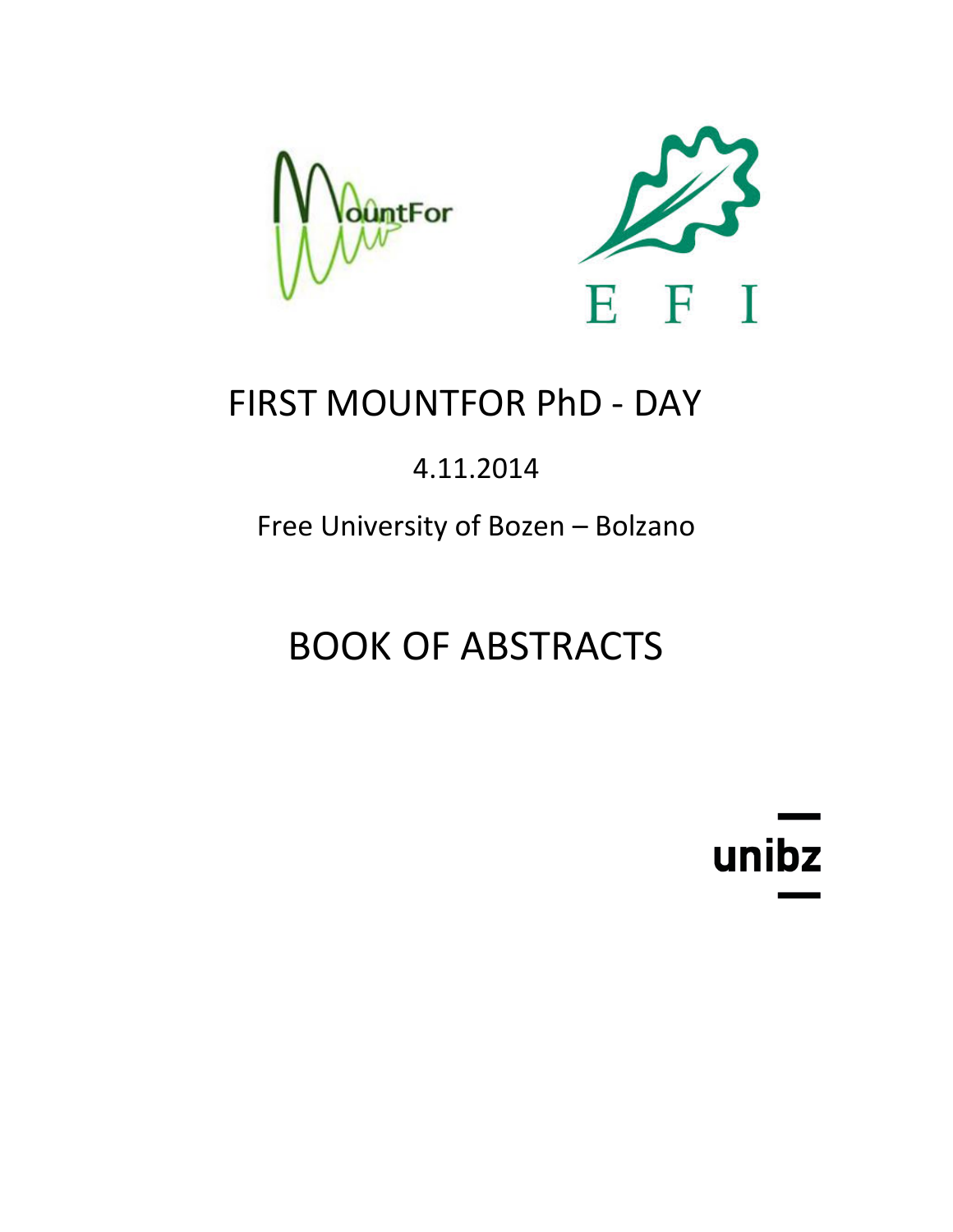



## FIRST MOUNTFOR PhD - DAY

### 4.11.2014

### Free University of Bozen – Bolzano

# BOOK OF ABSTRACTS

# unibz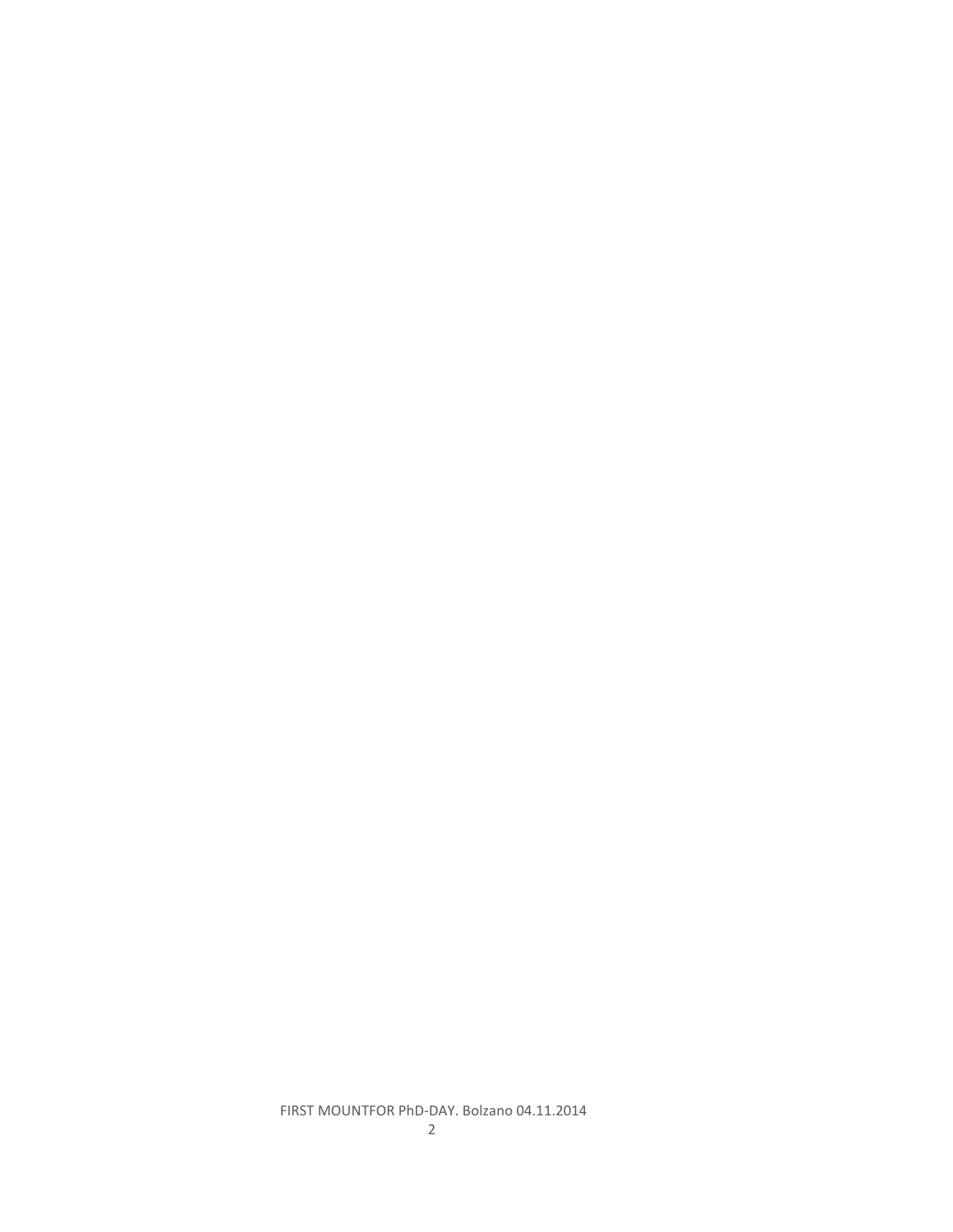FIRST MOUNTFOR PhD-DAY. Bolzano 04.11.2014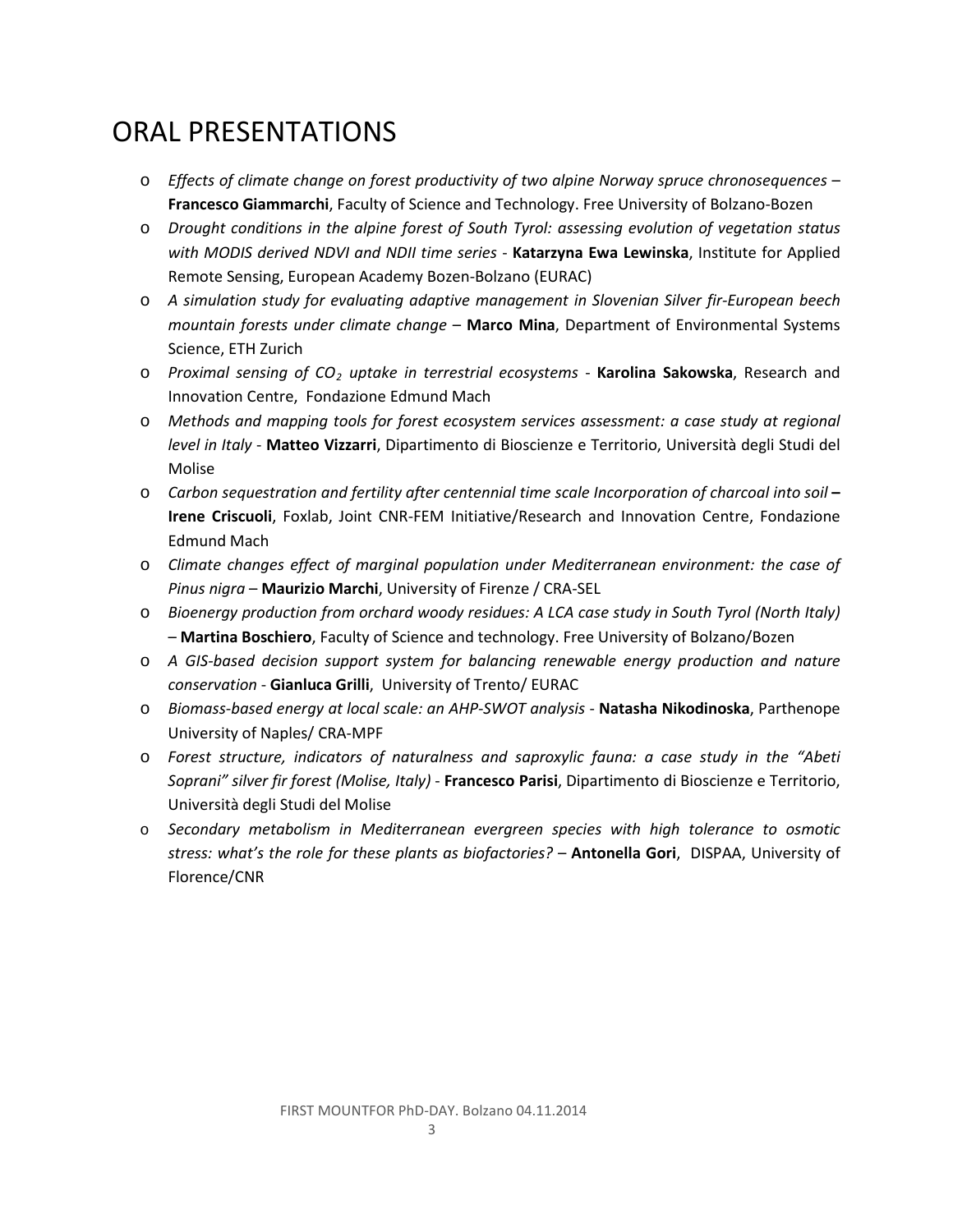### ORAL PRESENTATIONS

- o *Effects of climate change on forest productivity of two alpine Norway spruce chronosequences* **Francesco Giammarchi**, Faculty of Science and Technology. Free University of Bolzano-Bozen
- o *Drought conditions in the alpine forest of South Tyrol: assessing evolution of vegetation status with MODIS derived NDVI and NDII time series* - **Katarzyna Ewa Lewinska**, Institute for Applied Remote Sensing, European Academy Bozen-Bolzano (EURAC)
- o *A simulation study for evaluating adaptive management in Slovenian Silver fir-European beech mountain forests under climate change* – **Marco Mina**, Department of Environmental Systems Science, ETH Zurich
- o *Proximal sensing of CO2 uptake in terrestrial ecosystems* **Karolina Sakowska**, Research and Innovation Centre, Fondazione Edmund Mach
- o *Methods and mapping tools for forest ecosystem services assessment: a case study at regional level in Italy* - **Matteo Vizzarri**, Dipartimento di Bioscienze e Territorio, Università degli Studi del Molise
- o *Carbon sequestration and fertility after centennial time scale Incorporation of charcoal into soil* **– Irene Criscuoli**, Foxlab, Joint CNR-FEM Initiative/Research and Innovation Centre, Fondazione Edmund Mach
- o *Climate changes effect of marginal population under Mediterranean environment: the case of Pinus nigra* – **Maurizio Marchi**, University of Firenze / CRA-SEL
- o *Bioenergy production from orchard woody residues: A LCA case study in South Tyrol (North Italy)* – **Martina Boschiero**, Faculty of Science and technology. Free University of Bolzano/Bozen
- o *A GIS-based decision support system for balancing renewable energy production and nature conservation* - **Gianluca Grilli**, University of Trento/ EURAC
- o *Biomass-based energy at local scale: an AHP-SWOT analysis* **Natasha Nikodinoska**, Parthenope University of Naples/ CRA-MPF
- o *Forest structure, indicators of naturalness and saproxylic fauna: a case study in the "Abeti Soprani" silver fir forest (Molise, Italy)* - **Francesco Parisi**, Dipartimento di Bioscienze e Territorio, Università degli Studi del Molise
- o *Secondary metabolism in Mediterranean evergreen species with high tolerance to osmotic stress: what's the role for these plants as biofactories?* – **Antonella Gori**, DISPAA, University of Florence/CNR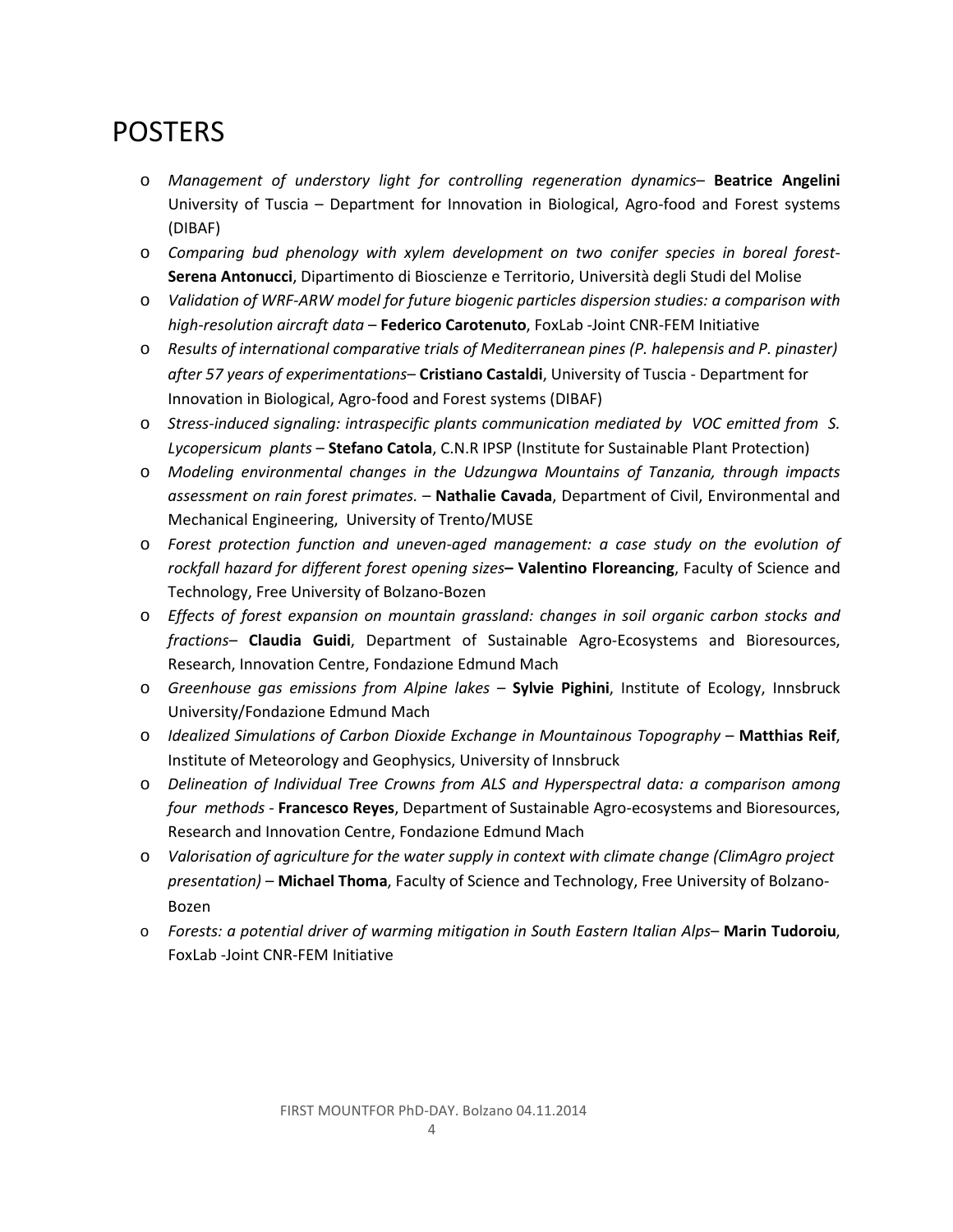### **POSTERS**

- o *Management of understory light for controlling regeneration dynamics* **Beatrice Angelini**  University of Tuscia – Department for Innovation in Biological, Agro-food and Forest systems (DIBAF)
- o *Comparing bud phenology with xylem development on two conifer species in boreal forest*-**Serena Antonucci**, Dipartimento di Bioscienze e Territorio, Università degli Studi del Molise
- o *Validation of WRF-ARW model for future biogenic particles dispersion studies: a comparison with high-resolution aircraft data* – **Federico Carotenuto**, FoxLab -Joint CNR-FEM Initiative
- o *Results of international comparative trials of Mediterranean pines (P. halepensis and P. pinaster) after 57 years of experimentations*– **Cristiano Castaldi**, University of Tuscia - Department for Innovation in Biological, Agro-food and Forest systems (DIBAF)
- o *Stress-induced signaling: intraspecific plants communication mediated by VOC emitted from S. Lycopersicum plants* – **Stefano Catola**, C.N.R IPSP (Institute for Sustainable Plant Protection)
- o *Modeling environmental changes in the Udzungwa Mountains of Tanzania, through impacts assessment on rain forest primates.* – **Nathalie Cavada**, Department of Civil, Environmental and Mechanical Engineering, University of Trento/MUSE
- o *Forest protection function and uneven-aged management: a case study on the evolution of rockfall hazard for different forest opening sizes***– Valentino Floreancing**, Faculty of Science and Technology, Free University of Bolzano-Bozen
- o *Effects of forest expansion on mountain grassland: changes in soil organic carbon stocks and fractions*– **Claudia Guidi**, Department of Sustainable Agro-Ecosystems and Bioresources, Research, Innovation Centre, Fondazione Edmund Mach
- o *Greenhouse gas emissions from Alpine lakes*  **Sylvie Pighini**, Institute of Ecology, Innsbruck University/Fondazione Edmund Mach
- o *Idealized Simulations of Carbon Dioxide Exchange in Mountainous Topography*  **Matthias Reif**, Institute of Meteorology and Geophysics, University of Innsbruck
- o *Delineation of Individual Tree Crowns from ALS and Hyperspectral data: a comparison among four methods* - **Francesco Reyes**, Department of Sustainable Agro-ecosystems and Bioresources, Research and Innovation Centre, Fondazione Edmund Mach
- o *Valorisation of agriculture for the water supply in context with climate change (ClimAgro project presentation)* – **Michael Thoma**, Faculty of Science and Technology, Free University of Bolzano-Bozen
- o *Forests: a potential driver of warming mitigation in South Eastern Italian Alps* **Marin Tudoroiu**, FoxLab -Joint CNR-FEM Initiative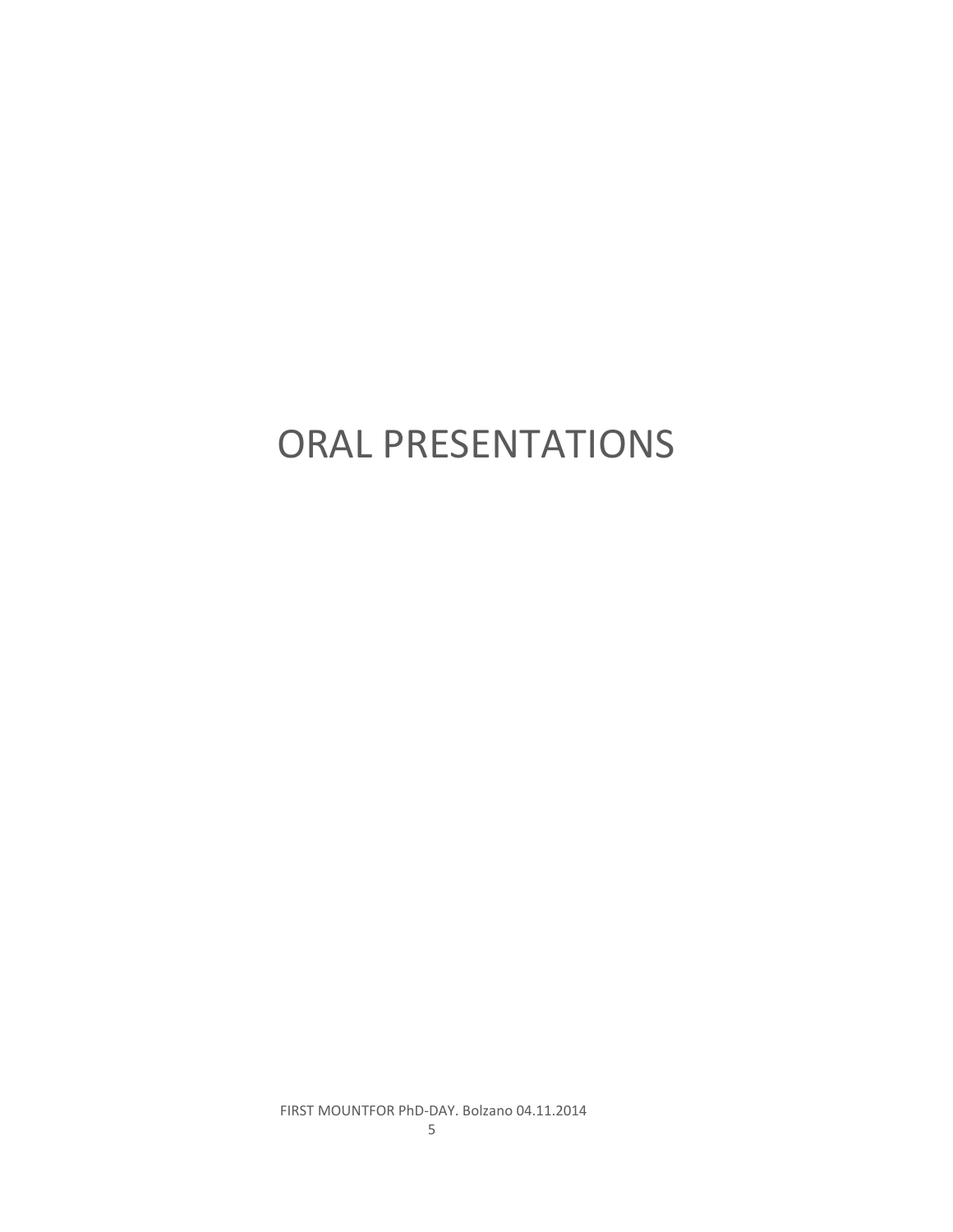# ORAL PRESENTATIONS

FIRST MOUNTFOR PhD-DAY. Bolzano 04.11.2014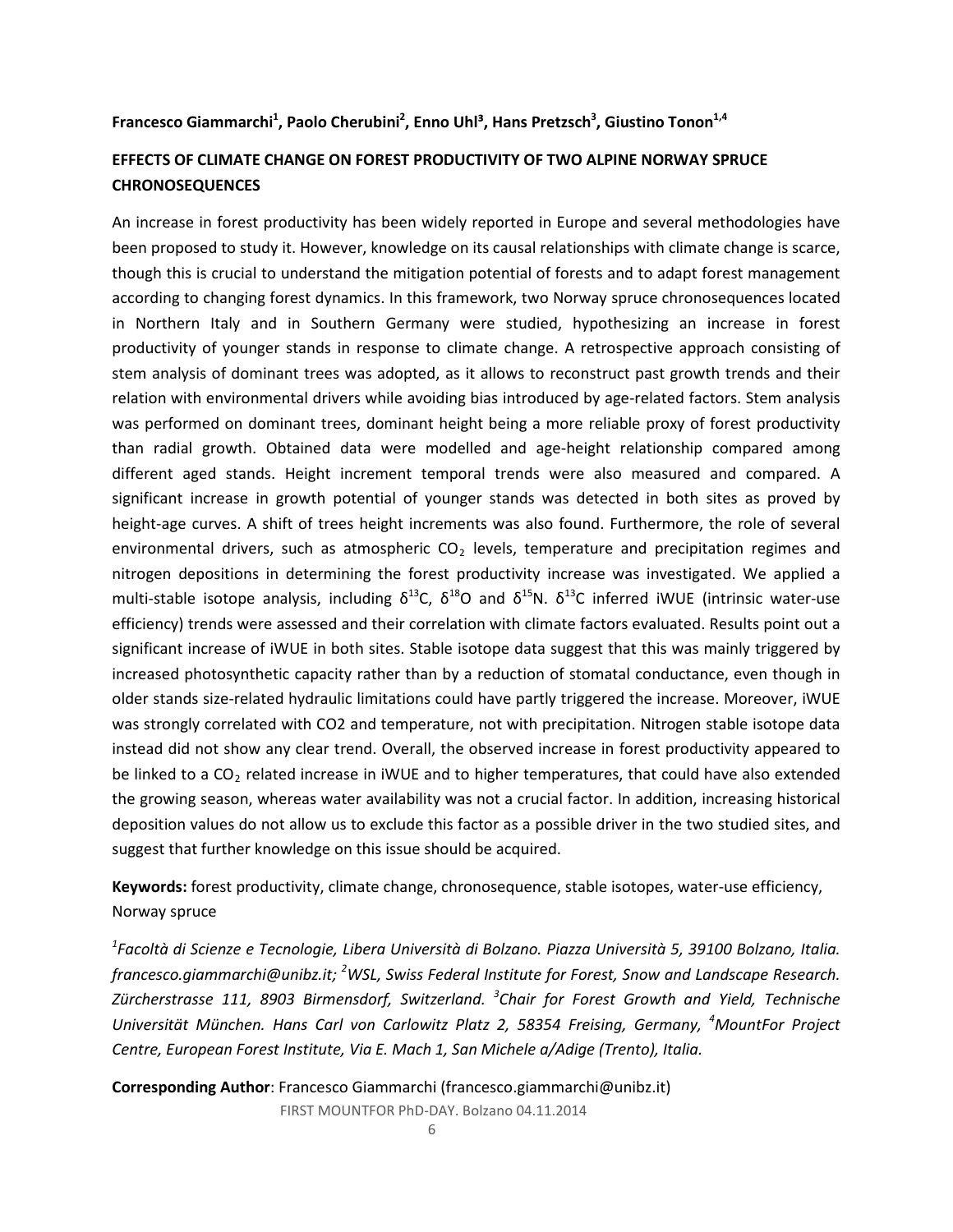#### Francesco Giammarchi<sup>1</sup>, Paolo Cherubini<sup>2</sup>, Enno Uhl<sup>3</sup>, Hans Pretzsch<sup>3</sup>, Giustino Tonon<sup>1,4</sup>

#### **EFFECTS OF CLIMATE CHANGE ON FOREST PRODUCTIVITY OF TWO ALPINE NORWAY SPRUCE CHRONOSEQUENCES**

An increase in forest productivity has been widely reported in Europe and several methodologies have been proposed to study it. However, knowledge on its causal relationships with climate change is scarce, though this is crucial to understand the mitigation potential of forests and to adapt forest management according to changing forest dynamics. In this framework, two Norway spruce chronosequences located in Northern Italy and in Southern Germany were studied, hypothesizing an increase in forest productivity of younger stands in response to climate change. A retrospective approach consisting of stem analysis of dominant trees was adopted, as it allows to reconstruct past growth trends and their relation with environmental drivers while avoiding bias introduced by age-related factors. Stem analysis was performed on dominant trees, dominant height being a more reliable proxy of forest productivity than radial growth. Obtained data were modelled and age-height relationship compared among different aged stands. Height increment temporal trends were also measured and compared. A significant increase in growth potential of younger stands was detected in both sites as proved by height-age curves. A shift of trees height increments was also found. Furthermore, the role of several environmental drivers, such as atmospheric  $CO<sub>2</sub>$  levels, temperature and precipitation regimes and nitrogen depositions in determining the forest productivity increase was investigated. We applied a multi-stable isotope analysis, including  $\delta^{13}C$ ,  $\delta^{18}O$  and  $\delta^{15}N$ .  $\delta^{13}C$  inferred iWUE (intrinsic water-use efficiency) trends were assessed and their correlation with climate factors evaluated. Results point out a significant increase of iWUE in both sites. Stable isotope data suggest that this was mainly triggered by increased photosynthetic capacity rather than by a reduction of stomatal conductance, even though in older stands size-related hydraulic limitations could have partly triggered the increase. Moreover, iWUE was strongly correlated with CO2 and temperature, not with precipitation. Nitrogen stable isotope data instead did not show any clear trend. Overall, the observed increase in forest productivity appeared to be linked to a  $CO<sub>2</sub>$  related increase in iWUE and to higher temperatures, that could have also extended the growing season, whereas water availability was not a crucial factor. In addition, increasing historical deposition values do not allow us to exclude this factor as a possible driver in the two studied sites, and suggest that further knowledge on this issue should be acquired.

**Keywords:** forest productivity, climate change, chronosequence, stable isotopes, water-use efficiency, Norway spruce

*1 Facoltà di Scienze e Tecnologie, Libera Università di Bolzano. Piazza Università 5, 39100 Bolzano, Italia. francesco.giammarchi@unibz.it; <sup>2</sup> WSL, Swiss Federal Institute for Forest, Snow and Landscape Research. Zürcherstrasse 111, 8903 Birmensdorf, Switzerland. <sup>3</sup> Chair for Forest Growth and Yield, Technische*  Universität München. Hans Carl von Carlowitz Platz 2, 58354 Freising, Germany, <sup>4</sup>MountFor Project *Centre, European Forest Institute, Via E. Mach 1, San Michele a/Adige (Trento), Italia.*

**Corresponding Author**: Francesco Giammarchi (francesco.giammarchi@unibz.it)

FIRST MOUNTFOR PhD-DAY. Bolzano 04.11.2014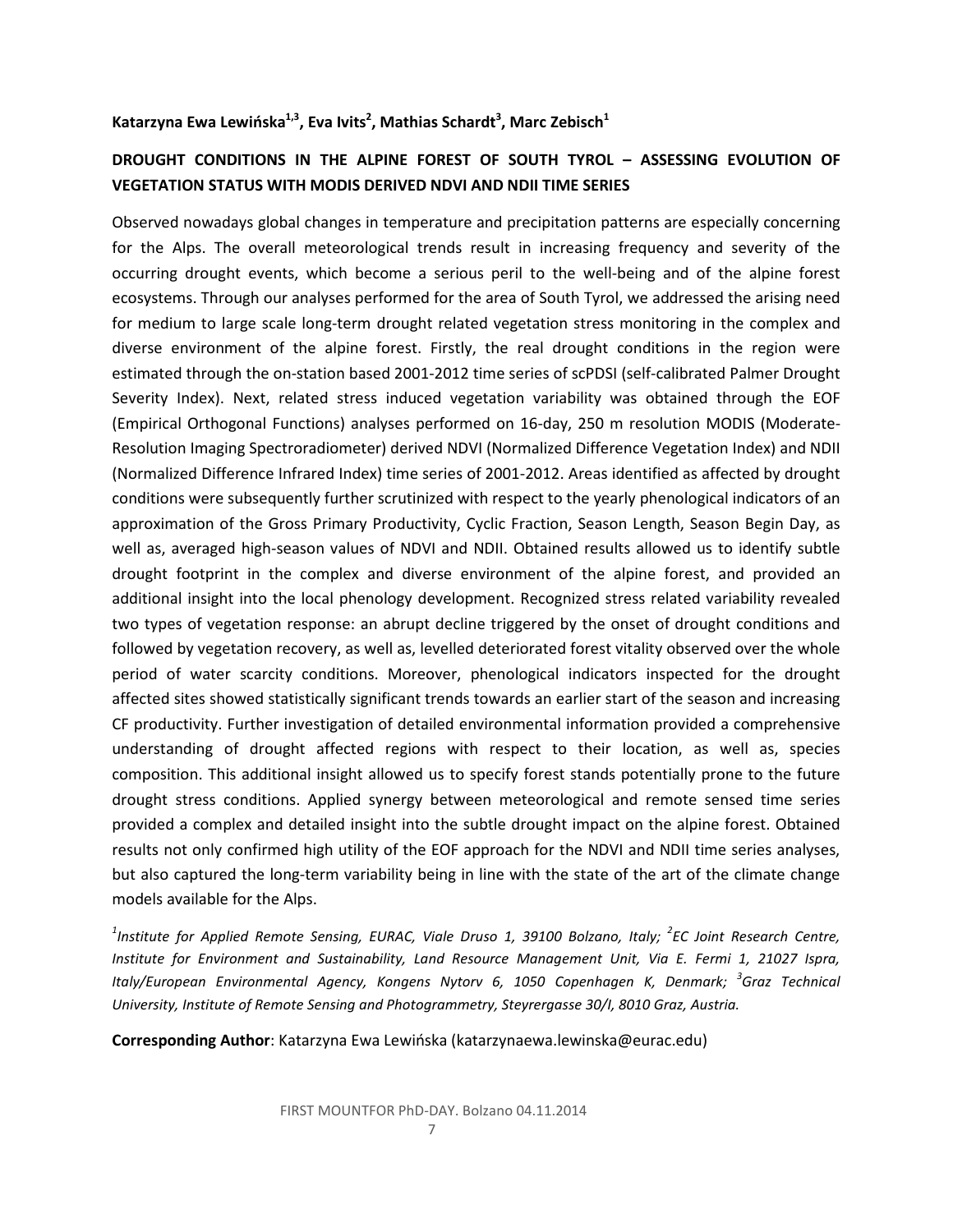#### Katarzyna Ewa Lewińska<sup>1,3</sup>, Eva Ivits<sup>2</sup>, Mathias Schardt<sup>3</sup>, Marc Zebisch<sup>1</sup>

#### **DROUGHT CONDITIONS IN THE ALPINE FOREST OF SOUTH TYROL – ASSESSING EVOLUTION OF VEGETATION STATUS WITH MODIS DERIVED NDVI AND NDII TIME SERIES**

Observed nowadays global changes in temperature and precipitation patterns are especially concerning for the Alps. The overall meteorological trends result in increasing frequency and severity of the occurring drought events, which become a serious peril to the well-being and of the alpine forest ecosystems. Through our analyses performed for the area of South Tyrol, we addressed the arising need for medium to large scale long-term drought related vegetation stress monitoring in the complex and diverse environment of the alpine forest. Firstly, the real drought conditions in the region were estimated through the on-station based 2001-2012 time series of scPDSI (self-calibrated Palmer Drought Severity Index). Next, related stress induced vegetation variability was obtained through the EOF (Empirical Orthogonal Functions) analyses performed on 16-day, 250 m resolution MODIS (Moderate-Resolution Imaging Spectroradiometer) derived NDVI (Normalized Difference Vegetation Index) and NDII (Normalized Difference Infrared Index) time series of 2001-2012. Areas identified as affected by drought conditions were subsequently further scrutinized with respect to the yearly phenological indicators of an approximation of the Gross Primary Productivity, Cyclic Fraction, Season Length, Season Begin Day, as well as, averaged high-season values of NDVI and NDII. Obtained results allowed us to identify subtle drought footprint in the complex and diverse environment of the alpine forest, and provided an additional insight into the local phenology development. Recognized stress related variability revealed two types of vegetation response: an abrupt decline triggered by the onset of drought conditions and followed by vegetation recovery, as well as, levelled deteriorated forest vitality observed over the whole period of water scarcity conditions. Moreover, phenological indicators inspected for the drought affected sites showed statistically significant trends towards an earlier start of the season and increasing CF productivity. Further investigation of detailed environmental information provided a comprehensive understanding of drought affected regions with respect to their location, as well as, species composition. This additional insight allowed us to specify forest stands potentially prone to the future drought stress conditions. Applied synergy between meteorological and remote sensed time series provided a complex and detailed insight into the subtle drought impact on the alpine forest. Obtained results not only confirmed high utility of the EOF approach for the NDVI and NDII time series analyses, but also captured the long-term variability being in line with the state of the art of the climate change models available for the Alps.

<sup>1</sup>Institute for Applied Remote Sensing, EURAC, Viale Druso 1, 39100 Bolzano, Italy; <sup>2</sup>EC Joint Research Centre, *Institute for Environment and Sustainability, Land Resource Management Unit, Via E. Fermi 1, 21027 Ispra, Italy/European Environmental Agency, Kongens Nytorv 6, 1050 Copenhagen K, Denmark; <sup>3</sup> Graz Technical University, Institute of Remote Sensing and Photogrammetry, Steyrergasse 30/I, 8010 Graz, Austria.*

#### **Corresponding Author**: Katarzyna Ewa Lewińska (katarzynaewa.lewinska@eurac.edu)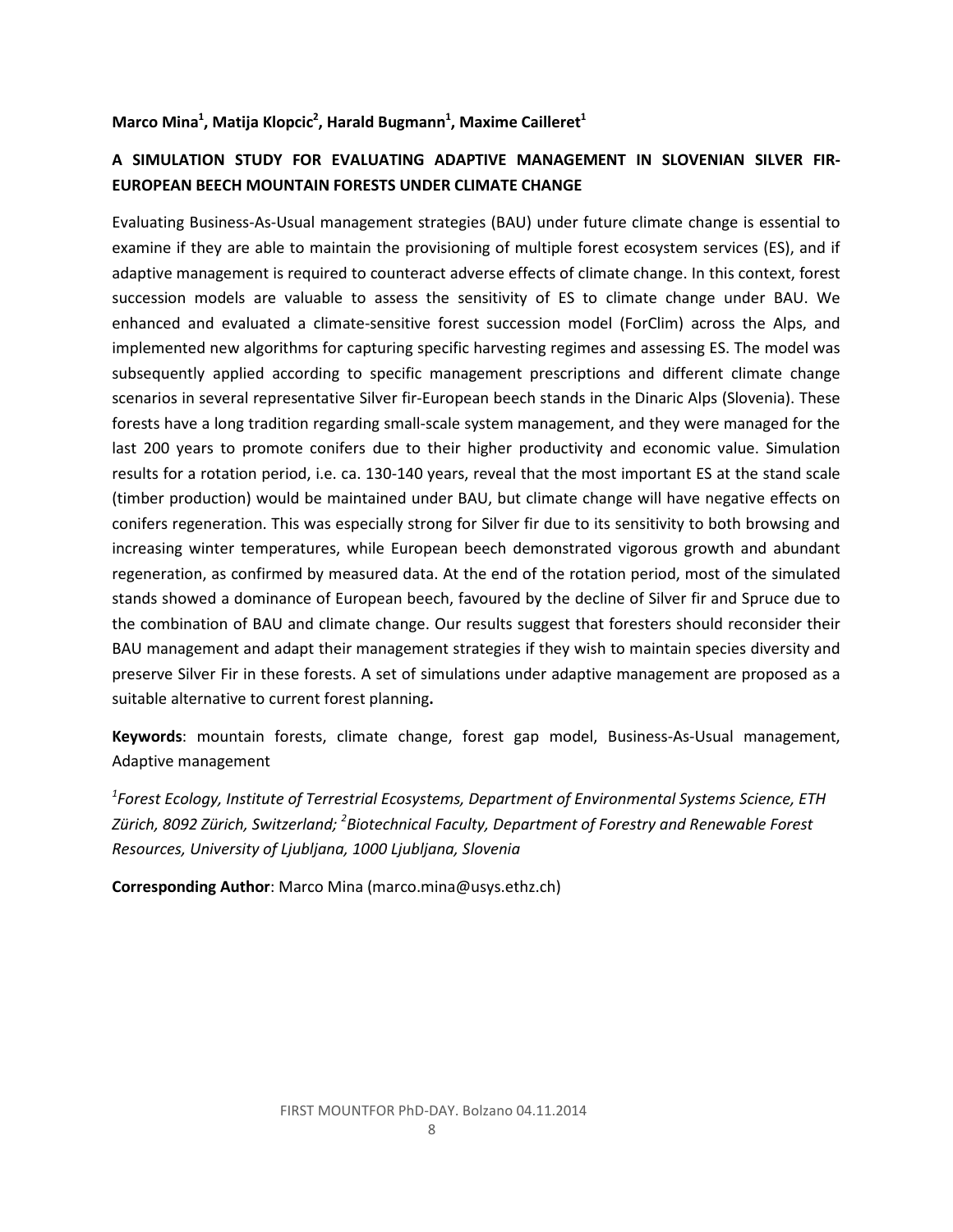#### Marco Mina<sup>1</sup>, Matija Klopcic<sup>2</sup>, Harald Bugmann<sup>1</sup>, Maxime Cailleret<sup>1</sup>

#### **A SIMULATION STUDY FOR EVALUATING ADAPTIVE MANAGEMENT IN SLOVENIAN SILVER FIR-EUROPEAN BEECH MOUNTAIN FORESTS UNDER CLIMATE CHANGE**

Evaluating Business-As-Usual management strategies (BAU) under future climate change is essential to examine if they are able to maintain the provisioning of multiple forest ecosystem services (ES), and if adaptive management is required to counteract adverse effects of climate change. In this context, forest succession models are valuable to assess the sensitivity of ES to climate change under BAU. We enhanced and evaluated a climate-sensitive forest succession model (ForClim) across the Alps, and implemented new algorithms for capturing specific harvesting regimes and assessing ES. The model was subsequently applied according to specific management prescriptions and different climate change scenarios in several representative Silver fir-European beech stands in the Dinaric Alps (Slovenia). These forests have a long tradition regarding small-scale system management, and they were managed for the last 200 years to promote conifers due to their higher productivity and economic value. Simulation results for a rotation period, i.e. ca. 130-140 years, reveal that the most important ES at the stand scale (timber production) would be maintained under BAU, but climate change will have negative effects on conifers regeneration. This was especially strong for Silver fir due to its sensitivity to both browsing and increasing winter temperatures, while European beech demonstrated vigorous growth and abundant regeneration, as confirmed by measured data. At the end of the rotation period, most of the simulated stands showed a dominance of European beech, favoured by the decline of Silver fir and Spruce due to the combination of BAU and climate change. Our results suggest that foresters should reconsider their BAU management and adapt their management strategies if they wish to maintain species diversity and preserve Silver Fir in these forests. A set of simulations under adaptive management are proposed as a suitable alternative to current forest planning**.**

**Keywords**: mountain forests, climate change, forest gap model, Business-As-Usual management, Adaptive management

*1 Forest Ecology, Institute of Terrestrial Ecosystems, Department of Environmental Systems Science, ETH Zürich, 8092 Zürich, Switzerland; <sup>2</sup> Biotechnical Faculty, Department of Forestry and Renewable Forest Resources, University of Ljubljana, 1000 Ljubljana, Slovenia*

**Corresponding Author**: Marco Mina (marco.mina@usys.ethz.ch)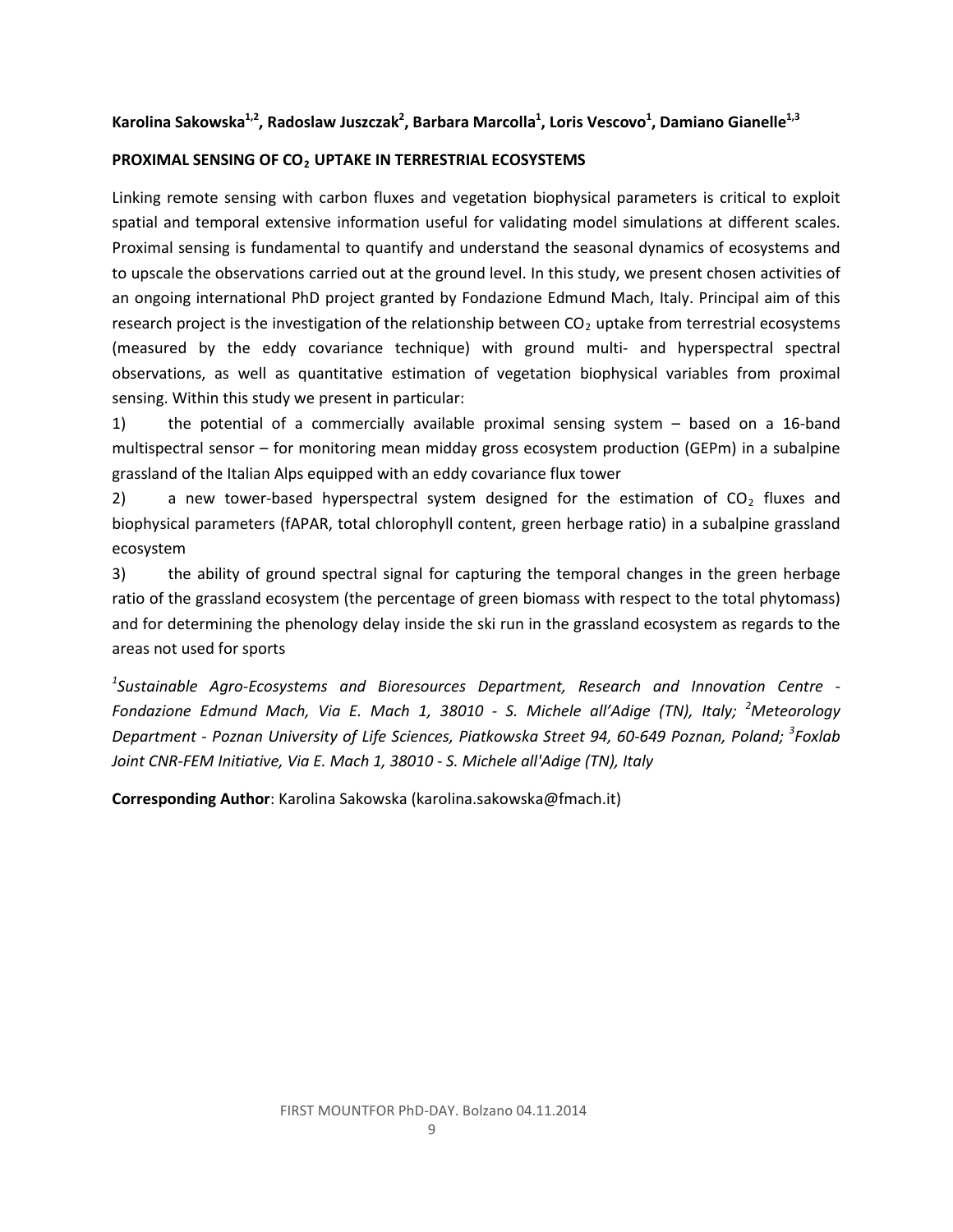#### **Karolina Sakowska1,2, Radoslaw Juszczak2 , Barbara Marcolla1 , Loris Vescovo1 , Damiano Gianelle1,3**

#### **PROXIMAL SENSING OF CO2 UPTAKE IN TERRESTRIAL ECOSYSTEMS**

Linking remote sensing with carbon fluxes and vegetation biophysical parameters is critical to exploit spatial and temporal extensive information useful for validating model simulations at different scales. Proximal sensing is fundamental to quantify and understand the seasonal dynamics of ecosystems and to upscale the observations carried out at the ground level. In this study, we present chosen activities of an ongoing international PhD project granted by Fondazione Edmund Mach, Italy. Principal aim of this research project is the investigation of the relationship between  $CO<sub>2</sub>$  uptake from terrestrial ecosystems (measured by the eddy covariance technique) with ground multi- and hyperspectral spectral observations, as well as quantitative estimation of vegetation biophysical variables from proximal sensing. Within this study we present in particular:

1) the potential of a commercially available proximal sensing system – based on a 16-band multispectral sensor – for monitoring mean midday gross ecosystem production (GEPm) in a subalpine grassland of the Italian Alps equipped with an eddy covariance flux tower

2) a new tower-based hyperspectral system designed for the estimation of  $CO<sub>2</sub>$  fluxes and biophysical parameters (fAPAR, total chlorophyll content, green herbage ratio) in a subalpine grassland ecosystem

3) the ability of ground spectral signal for capturing the temporal changes in the green herbage ratio of the grassland ecosystem (the percentage of green biomass with respect to the total phytomass) and for determining the phenology delay inside the ski run in the grassland ecosystem as regards to the areas not used for sports

*1 Sustainable Agro-Ecosystems and Bioresources Department, Research and Innovation Centre - Fondazione Edmund Mach, Via E. Mach 1, 38010 - S. Michele all'Adige (TN), Italy; <sup>2</sup> Meteorology Department - Poznan University of Life Sciences, Piatkowska Street 94, 60-649 Poznan, Poland; <sup>3</sup> Foxlab Joint CNR-FEM Initiative, Via E. Mach 1, 38010 - S. Michele all'Adige (TN), Italy*

**Corresponding Author**: Karolina Sakowska (karolina.sakowska@fmach.it)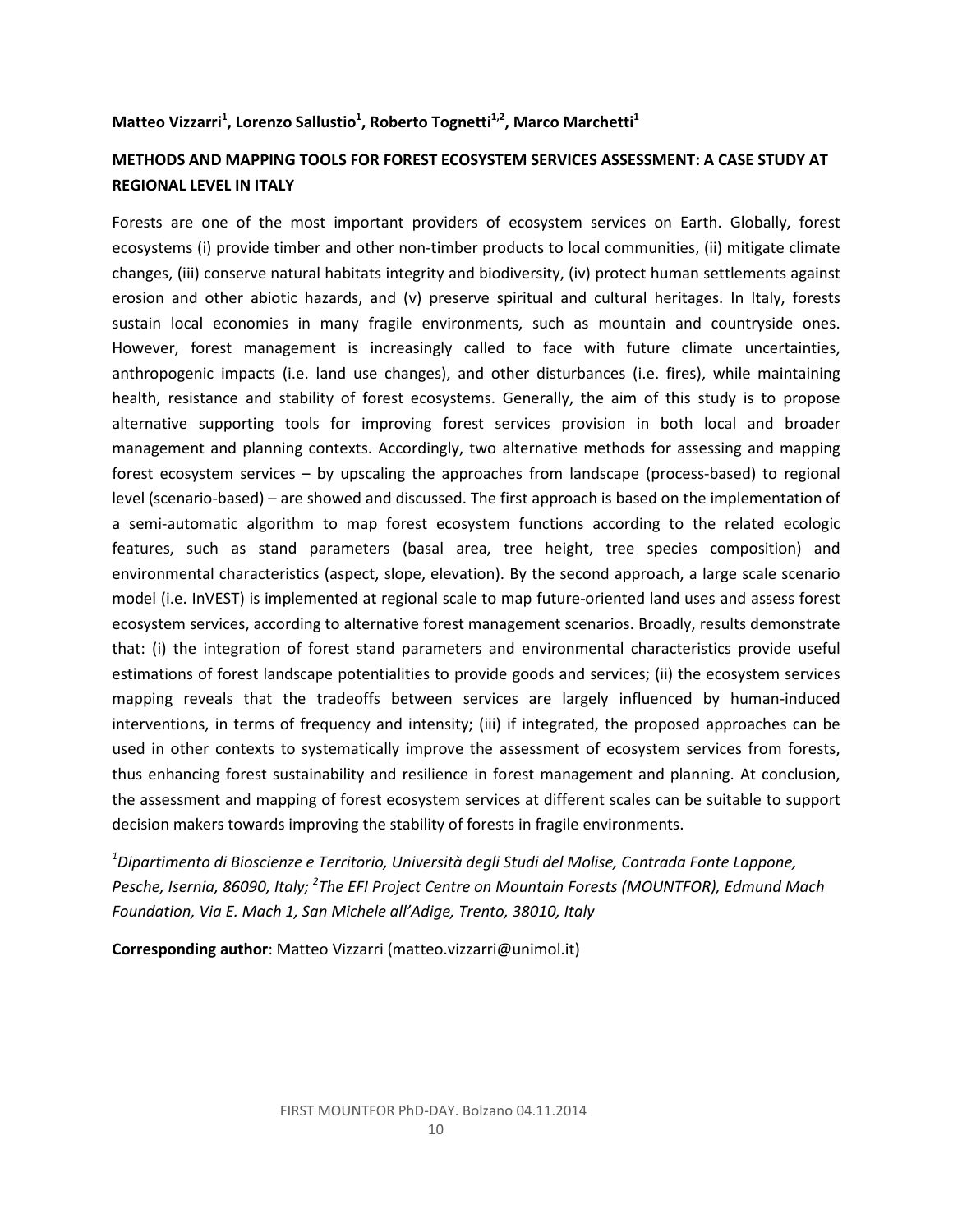#### Matteo Vizzarri<sup>1</sup>, Lorenzo Sallustio<sup>1</sup>, Roberto Tognetti<sup>1,2</sup>, Marco Marchetti<sup>1</sup>

#### **METHODS AND MAPPING TOOLS FOR FOREST ECOSYSTEM SERVICES ASSESSMENT: A CASE STUDY AT REGIONAL LEVEL IN ITALY**

Forests are one of the most important providers of ecosystem services on Earth. Globally, forest ecosystems (i) provide timber and other non-timber products to local communities, (ii) mitigate climate changes, (iii) conserve natural habitats integrity and biodiversity, (iv) protect human settlements against erosion and other abiotic hazards, and (v) preserve spiritual and cultural heritages. In Italy, forests sustain local economies in many fragile environments, such as mountain and countryside ones. However, forest management is increasingly called to face with future climate uncertainties, anthropogenic impacts (i.e. land use changes), and other disturbances (i.e. fires), while maintaining health, resistance and stability of forest ecosystems. Generally, the aim of this study is to propose alternative supporting tools for improving forest services provision in both local and broader management and planning contexts. Accordingly, two alternative methods for assessing and mapping forest ecosystem services – by upscaling the approaches from landscape (process-based) to regional level (scenario-based) – are showed and discussed. The first approach is based on the implementation of a semi-automatic algorithm to map forest ecosystem functions according to the related ecologic features, such as stand parameters (basal area, tree height, tree species composition) and environmental characteristics (aspect, slope, elevation). By the second approach, a large scale scenario model (i.e. InVEST) is implemented at regional scale to map future-oriented land uses and assess forest ecosystem services, according to alternative forest management scenarios. Broadly, results demonstrate that: (i) the integration of forest stand parameters and environmental characteristics provide useful estimations of forest landscape potentialities to provide goods and services; (ii) the ecosystem services mapping reveals that the tradeoffs between services are largely influenced by human-induced interventions, in terms of frequency and intensity; (iii) if integrated, the proposed approaches can be used in other contexts to systematically improve the assessment of ecosystem services from forests, thus enhancing forest sustainability and resilience in forest management and planning. At conclusion, the assessment and mapping of forest ecosystem services at different scales can be suitable to support decision makers towards improving the stability of forests in fragile environments.

*1 Dipartimento di Bioscienze e Territorio, Università degli Studi del Molise, Contrada Fonte Lappone, Pesche, Isernia, 86090, Italy; 2 The EFI Project Centre on Mountain Forests (MOUNTFOR), Edmund Mach Foundation, Via E. Mach 1, San Michele all'Adige, Trento, 38010, Italy*

**Corresponding author**: Matteo Vizzarri (matteo.vizzarri@unimol.it)

FIRST MOUNTFOR PhD-DAY. Bolzano 04.11.2014 10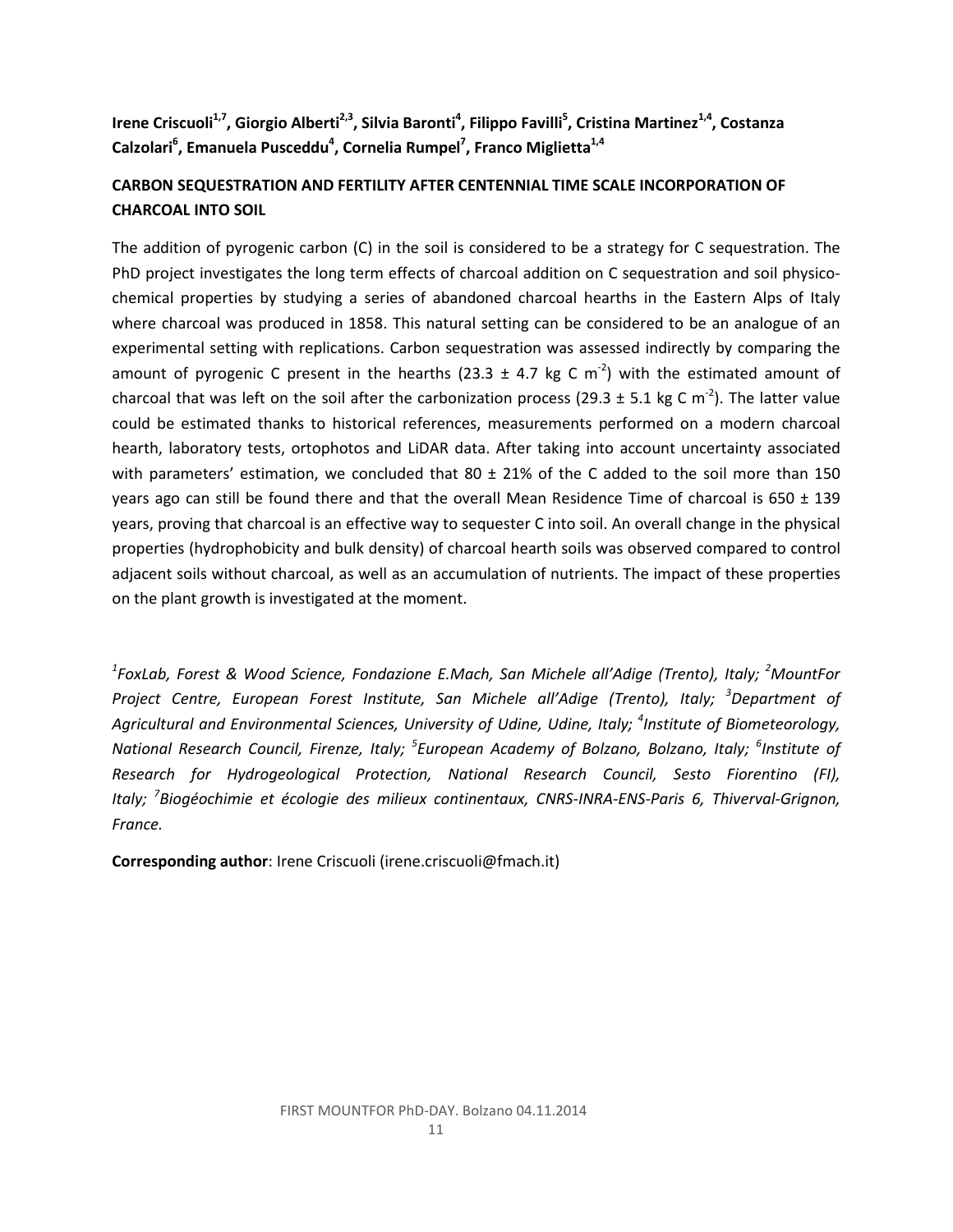#### Irene Criscuoli<sup>1,7</sup>, Giorgio Alberti<sup>2,3</sup>, Silvia Baronti<sup>4</sup>, Filippo Favilli<sup>5</sup>, Cristina Martinez<sup>1,4</sup>, Costanza Calzolari<sup>6</sup>, Emanuela Pusceddu<sup>4</sup>, Cornelia Rumpel<sup>7</sup>, Franco Miglietta<sup>1,4</sup>

#### **CARBON SEQUESTRATION AND FERTILITY AFTER CENTENNIAL TIME SCALE INCORPORATION OF CHARCOAL INTO SOIL**

The addition of pyrogenic carbon (C) in the soil is considered to be a strategy for C sequestration. The PhD project investigates the long term effects of charcoal addition on C sequestration and soil physicochemical properties by studying a series of abandoned charcoal hearths in the Eastern Alps of Italy where charcoal was produced in 1858. This natural setting can be considered to be an analogue of an experimental setting with replications. Carbon sequestration was assessed indirectly by comparing the amount of pyrogenic C present in the hearths (23.3  $\pm$  4.7 kg C m<sup>-2</sup>) with the estimated amount of charcoal that was left on the soil after the carbonization process (29.3  $\pm$  5.1 kg C m<sup>-2</sup>). The latter value could be estimated thanks to historical references, measurements performed on a modern charcoal hearth, laboratory tests, ortophotos and LiDAR data. After taking into account uncertainty associated with parameters' estimation, we concluded that 80  $\pm$  21% of the C added to the soil more than 150 years ago can still be found there and that the overall Mean Residence Time of charcoal is  $650 \pm 139$ years, proving that charcoal is an effective way to sequester C into soil. An overall change in the physical properties (hydrophobicity and bulk density) of charcoal hearth soils was observed compared to control adjacent soils without charcoal, as well as an accumulation of nutrients. The impact of these properties on the plant growth is investigated at the moment.

<sup>1</sup>FoxLab, Forest & Wood Science, Fondazione E.Mach, San Michele all'Adige (Trento), Italy; <sup>2</sup>MountFor *Project Centre, European Forest Institute, San Michele all'Adige (Trento), Italy; <sup>3</sup> Department of Agricultural and Environmental Sciences, University of Udine, Udine, Italy; <sup>4</sup> Institute of Biometeorology, National Research Council, Firenze, Italy; <sup>5</sup> European Academy of Bolzano, Bolzano, Italy; <sup>6</sup> Institute of Research for Hydrogeological Protection, National Research Council, Sesto Fiorentino (FI), Italy; <sup>7</sup> Biogéochimie et écologie des milieux continentaux, CNRS-INRA-ENS-Paris 6, Thiverval-Grignon, France.*

**Corresponding author**: Irene Criscuoli (irene.criscuoli@fmach.it)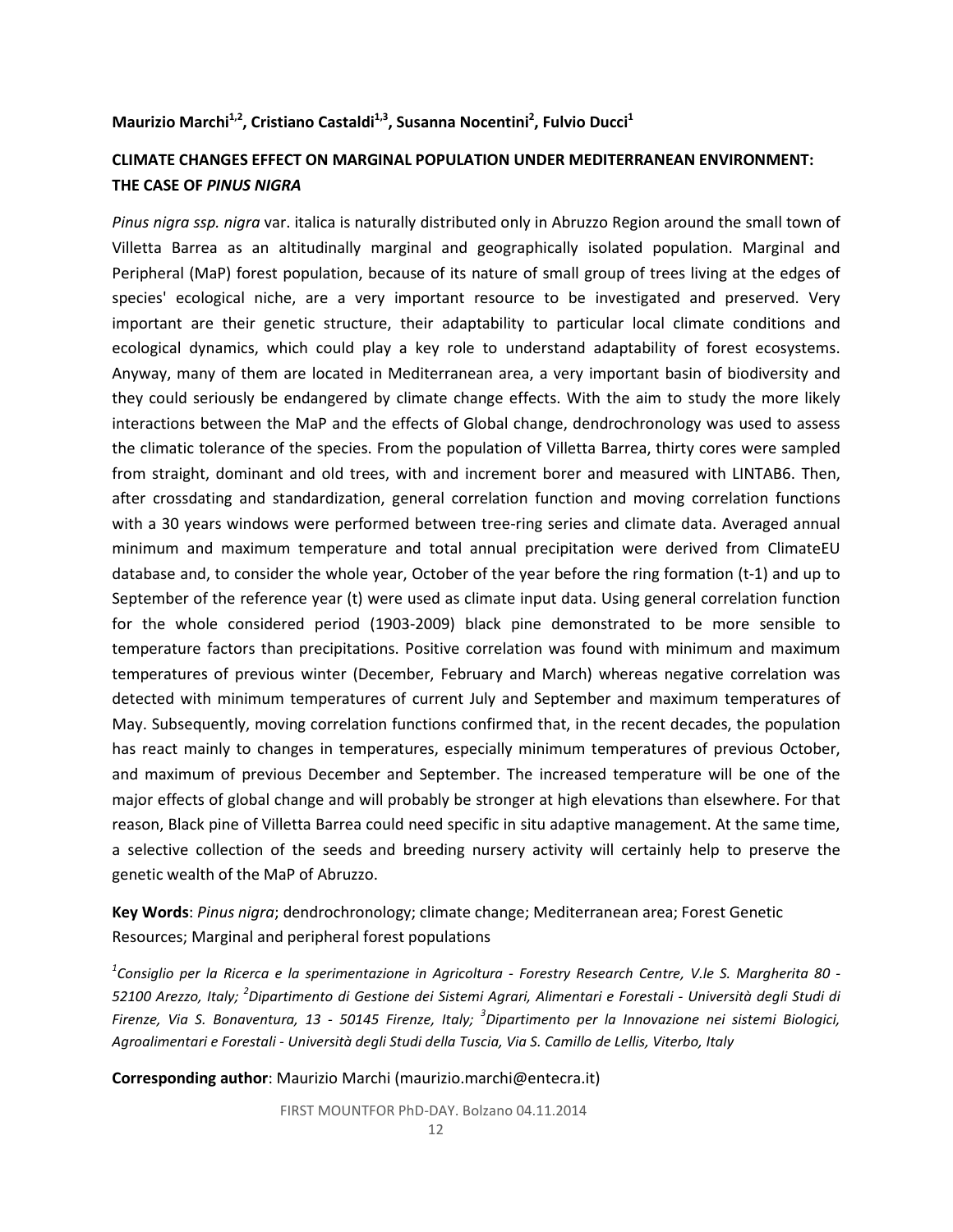#### Maurizio Marchi<sup>1,2</sup>, Cristiano Castaldi<sup>1,3</sup>, Susanna Nocentini<sup>2</sup>, Fulvio Ducci<sup>1</sup>

#### **CLIMATE CHANGES EFFECT ON MARGINAL POPULATION UNDER MEDITERRANEAN ENVIRONMENT: THE CASE OF** *PINUS NIGRA*

*Pinus nigra ssp. nigra* var. italica is naturally distributed only in Abruzzo Region around the small town of Villetta Barrea as an altitudinally marginal and geographically isolated population. Marginal and Peripheral (MaP) forest population, because of its nature of small group of trees living at the edges of species' ecological niche, are a very important resource to be investigated and preserved. Very important are their genetic structure, their adaptability to particular local climate conditions and ecological dynamics, which could play a key role to understand adaptability of forest ecosystems. Anyway, many of them are located in Mediterranean area, a very important basin of biodiversity and they could seriously be endangered by climate change effects. With the aim to study the more likely interactions between the MaP and the effects of Global change, dendrochronology was used to assess the climatic tolerance of the species. From the population of Villetta Barrea, thirty cores were sampled from straight, dominant and old trees, with and increment borer and measured with LINTAB6. Then, after crossdating and standardization, general correlation function and moving correlation functions with a 30 years windows were performed between tree-ring series and climate data. Averaged annual minimum and maximum temperature and total annual precipitation were derived from ClimateEU database and, to consider the whole year, October of the year before the ring formation (t-1) and up to September of the reference year (t) were used as climate input data. Using general correlation function for the whole considered period (1903-2009) black pine demonstrated to be more sensible to temperature factors than precipitations. Positive correlation was found with minimum and maximum temperatures of previous winter (December, February and March) whereas negative correlation was detected with minimum temperatures of current July and September and maximum temperatures of May. Subsequently, moving correlation functions confirmed that, in the recent decades, the population has react mainly to changes in temperatures, especially minimum temperatures of previous October, and maximum of previous December and September. The increased temperature will be one of the major effects of global change and will probably be stronger at high elevations than elsewhere. For that reason, Black pine of Villetta Barrea could need specific in situ adaptive management. At the same time, a selective collection of the seeds and breeding nursery activity will certainly help to preserve the genetic wealth of the MaP of Abruzzo.

**Key Words**: *Pinus nigra*; dendrochronology; climate change; Mediterranean area; Forest Genetic Resources; Marginal and peripheral forest populations

*1 Consiglio per la Ricerca e la sperimentazione in Agricoltura - Forestry Research Centre, V.le S. Margherita 80 - 52100 Arezzo, Italy; <sup>2</sup> Dipartimento di Gestione dei Sistemi Agrari, Alimentari e Forestali - Università degli Studi di Firenze, Via S. Bonaventura, 13 - 50145 Firenze, Italy; <sup>3</sup> Dipartimento per la Innovazione nei sistemi Biologici, Agroalimentari e Forestali - Università degli Studi della Tuscia, Via S. Camillo de Lellis, Viterbo, Italy*

#### **Corresponding author**: Maurizio Marchi (maurizio.marchi@entecra.it)

FIRST MOUNTFOR PhD-DAY. Bolzano 04.11.2014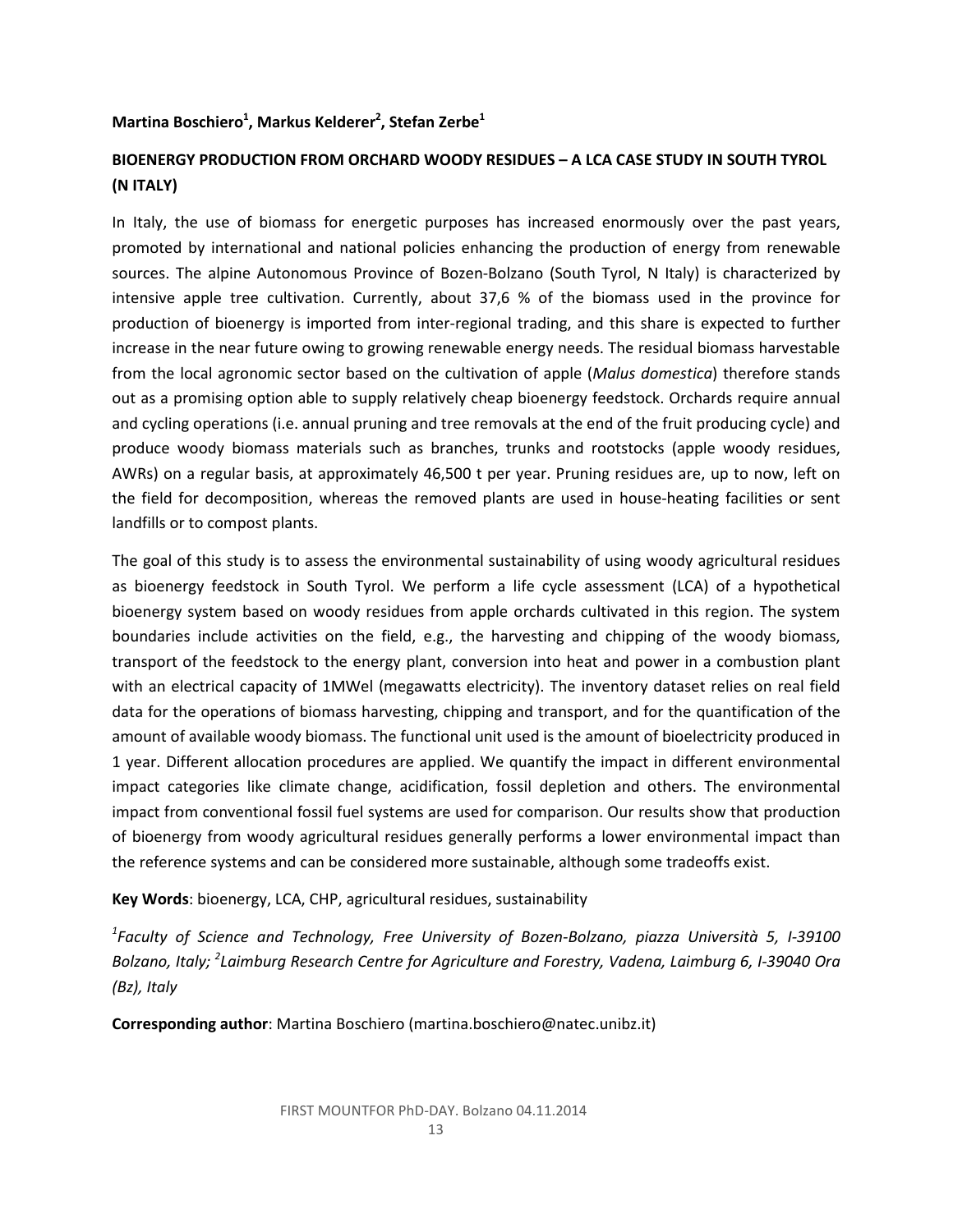#### $M$ artina Boschiero<sup>1</sup>, Markus Kelderer<sup>2</sup>, Stefan Zerbe<sup>1</sup>

#### **BIOENERGY PRODUCTION FROM ORCHARD WOODY RESIDUES – A LCA CASE STUDY IN SOUTH TYROL (N ITALY)**

In Italy, the use of biomass for energetic purposes has increased enormously over the past years, promoted by international and national policies enhancing the production of energy from renewable sources. The alpine Autonomous Province of Bozen-Bolzano (South Tyrol, N Italy) is characterized by intensive apple tree cultivation. Currently, about 37,6 % of the biomass used in the province for production of bioenergy is imported from inter-regional trading, and this share is expected to further increase in the near future owing to growing renewable energy needs. The residual biomass harvestable from the local agronomic sector based on the cultivation of apple (*Malus domestica*) therefore stands out as a promising option able to supply relatively cheap bioenergy feedstock. Orchards require annual and cycling operations (i.e. annual pruning and tree removals at the end of the fruit producing cycle) and produce woody biomass materials such as branches, trunks and rootstocks (apple woody residues, AWRs) on a regular basis, at approximately 46,500 t per year. Pruning residues are, up to now, left on the field for decomposition, whereas the removed plants are used in house-heating facilities or sent landfills or to compost plants.

The goal of this study is to assess the environmental sustainability of using woody agricultural residues as bioenergy feedstock in South Tyrol. We perform a life cycle assessment (LCA) of a hypothetical bioenergy system based on woody residues from apple orchards cultivated in this region. The system boundaries include activities on the field, e.g., the harvesting and chipping of the woody biomass, transport of the feedstock to the energy plant, conversion into heat and power in a combustion plant with an electrical capacity of 1MWel (megawatts electricity). The inventory dataset relies on real field data for the operations of biomass harvesting, chipping and transport, and for the quantification of the amount of available woody biomass. The functional unit used is the amount of bioelectricity produced in 1 year. Different allocation procedures are applied. We quantify the impact in different environmental impact categories like climate change, acidification, fossil depletion and others. The environmental impact from conventional fossil fuel systems are used for comparison. Our results show that production of bioenergy from woody agricultural residues generally performs a lower environmental impact than the reference systems and can be considered more sustainable, although some tradeoffs exist.

**Key Words**: bioenergy, LCA, CHP, agricultural residues, sustainability

*1 Faculty of Science and Technology, Free University of Bozen-Bolzano, piazza Università 5, I-39100 Bolzano, Italy; <sup>2</sup> Laimburg Research Centre for Agriculture and Forestry, Vadena, Laimburg 6, I-39040 Ora (Bz), Italy*

**Corresponding author**: Martina Boschiero (martina.boschiero@natec.unibz.it)

FIRST MOUNTFOR PhD-DAY. Bolzano 04.11.2014 13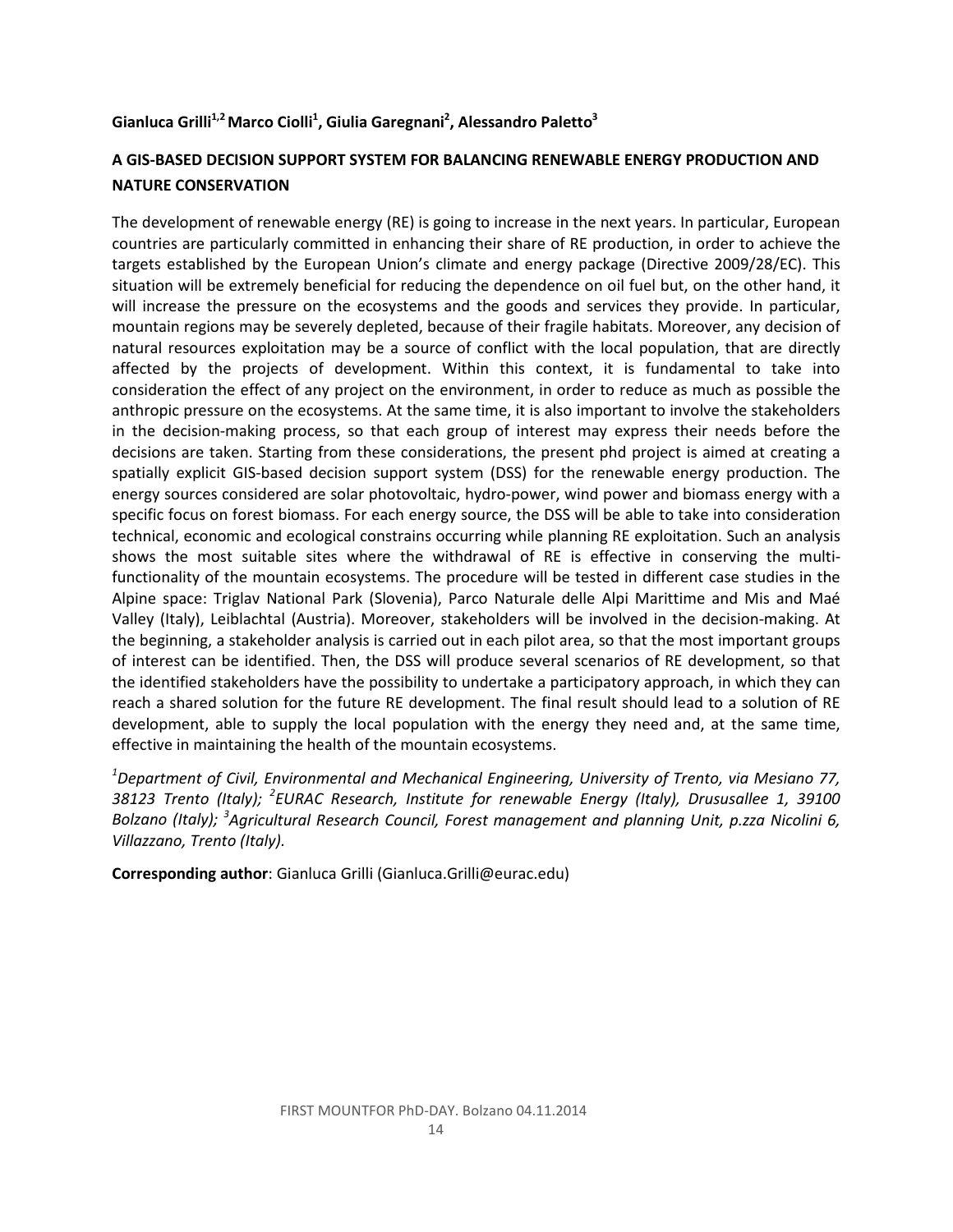#### Gianluca Grilli<sup>1,2</sup> Marco Ciolli<sup>1</sup>, Giulia Garegnani<sup>2</sup>, Alessandro Paletto<sup>3</sup>

#### **A GIS-BASED DECISION SUPPORT SYSTEM FOR BALANCING RENEWABLE ENERGY PRODUCTION AND NATURE CONSERVATION**

The development of renewable energy (RE) is going to increase in the next years. In particular, European countries are particularly committed in enhancing their share of RE production, in order to achieve the targets established by the European Union's climate and energy package (Directive 2009/28/EC). This situation will be extremely beneficial for reducing the dependence on oil fuel but, on the other hand, it will increase the pressure on the ecosystems and the goods and services they provide. In particular, mountain regions may be severely depleted, because of their fragile habitats. Moreover, any decision of natural resources exploitation may be a source of conflict with the local population, that are directly affected by the projects of development. Within this context, it is fundamental to take into consideration the effect of any project on the environment, in order to reduce as much as possible the anthropic pressure on the ecosystems. At the same time, it is also important to involve the stakeholders in the decision-making process, so that each group of interest may express their needs before the decisions are taken. Starting from these considerations, the present phd project is aimed at creating a spatially explicit GIS-based decision support system (DSS) for the renewable energy production. The energy sources considered are solar photovoltaic, hydro-power, wind power and biomass energy with a specific focus on forest biomass. For each energy source, the DSS will be able to take into consideration technical, economic and ecological constrains occurring while planning RE exploitation. Such an analysis shows the most suitable sites where the withdrawal of RE is effective in conserving the multifunctionality of the mountain ecosystems. The procedure will be tested in different case studies in the Alpine space: Triglav National Park (Slovenia), Parco Naturale delle Alpi Marittime and Mis and Maé Valley (Italy), Leiblachtal (Austria). Moreover, stakeholders will be involved in the decision-making. At the beginning, a stakeholder analysis is carried out in each pilot area, so that the most important groups of interest can be identified. Then, the DSS will produce several scenarios of RE development, so that the identified stakeholders have the possibility to undertake a participatory approach, in which they can reach a shared solution for the future RE development. The final result should lead to a solution of RE development, able to supply the local population with the energy they need and, at the same time, effective in maintaining the health of the mountain ecosystems.

*1 Department of Civil, Environmental and Mechanical Engineering, University of Trento, via Mesiano 77, 38123 Trento (Italy); <sup>2</sup> EURAC Research, Institute for renewable Energy (Italy), Drususallee 1, 39100 Bolzano (Italy); <sup>3</sup> Agricultural Research Council, Forest management and planning Unit, p.zza Nicolini 6, Villazzano, Trento (Italy).*

**Corresponding author**: Gianluca Grilli (Gianluca.Grilli@eurac.edu)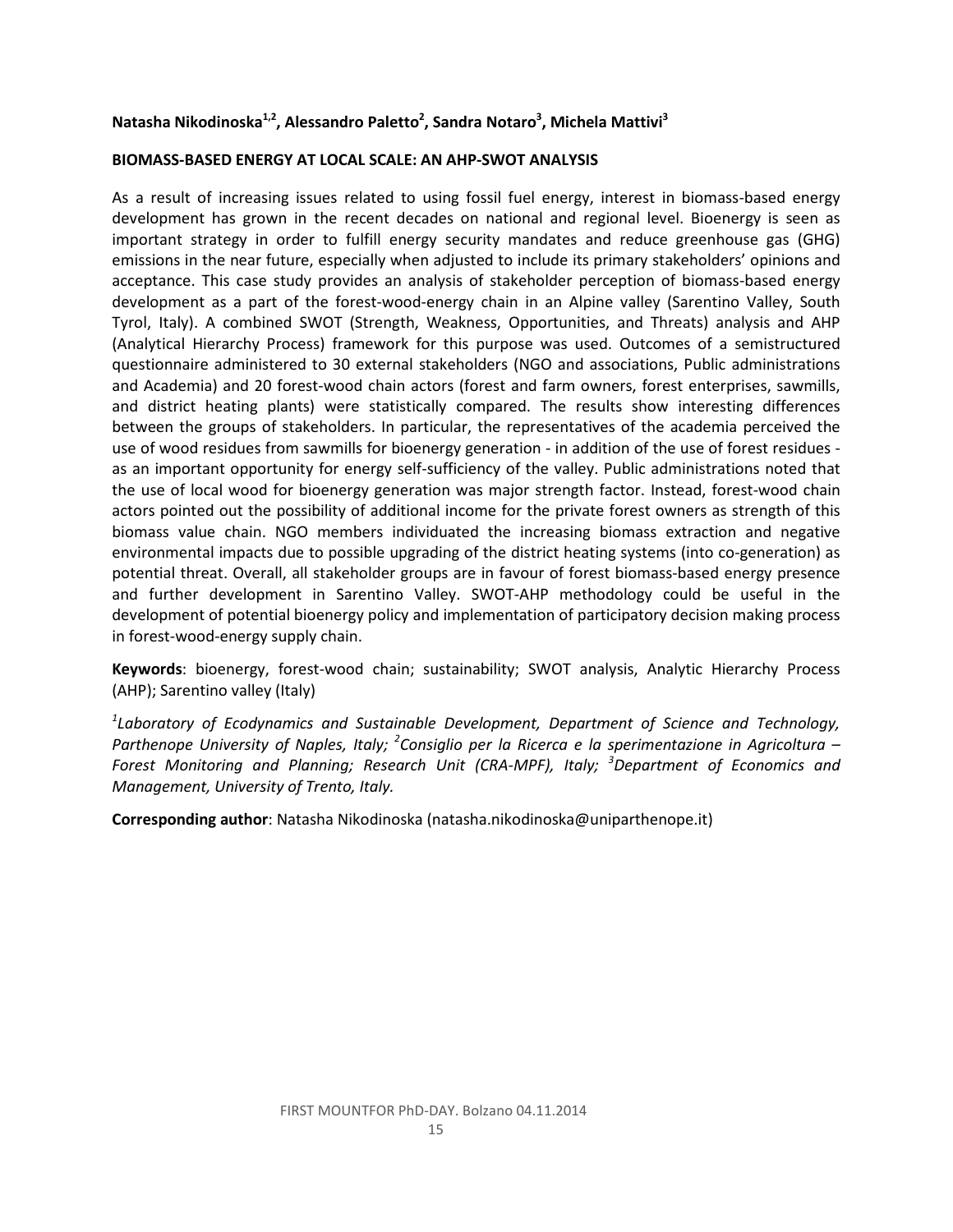#### Natasha Nikodinoska<sup>1,2</sup>, Alessandro Paletto<sup>2</sup>, Sandra Notaro<sup>3</sup>, Michela Mattivi<sup>3</sup>

#### **BIOMASS-BASED ENERGY AT LOCAL SCALE: AN AHP-SWOT ANALYSIS**

As a result of increasing issues related to using fossil fuel energy, interest in biomass-based energy development has grown in the recent decades on national and regional level. Bioenergy is seen as important strategy in order to fulfill energy security mandates and reduce greenhouse gas (GHG) emissions in the near future, especially when adjusted to include its primary stakeholders' opinions and acceptance. This case study provides an analysis of stakeholder perception of biomass-based energy development as a part of the forest-wood-energy chain in an Alpine valley (Sarentino Valley, South Tyrol, Italy). A combined SWOT (Strength, Weakness, Opportunities, and Threats) analysis and AHP (Analytical Hierarchy Process) framework for this purpose was used. Outcomes of a semistructured questionnaire administered to 30 external stakeholders (NGO and associations, Public administrations and Academia) and 20 forest-wood chain actors (forest and farm owners, forest enterprises, sawmills, and district heating plants) were statistically compared. The results show interesting differences between the groups of stakeholders. In particular, the representatives of the academia perceived the use of wood residues from sawmills for bioenergy generation - in addition of the use of forest residues as an important opportunity for energy self-sufficiency of the valley. Public administrations noted that the use of local wood for bioenergy generation was major strength factor. Instead, forest-wood chain actors pointed out the possibility of additional income for the private forest owners as strength of this biomass value chain. NGO members individuated the increasing biomass extraction and negative environmental impacts due to possible upgrading of the district heating systems (into co-generation) as potential threat. Overall, all stakeholder groups are in favour of forest biomass-based energy presence and further development in Sarentino Valley. SWOT-AHP methodology could be useful in the development of potential bioenergy policy and implementation of participatory decision making process in forest-wood-energy supply chain.

**Keywords**: bioenergy, forest-wood chain; sustainability; SWOT analysis, Analytic Hierarchy Process (AHP); Sarentino valley (Italy)

*1 Laboratory of Ecodynamics and Sustainable Development, Department of Science and Technology, Parthenope University of Naples, Italy; <sup>2</sup> Consiglio per la Ricerca e la sperimentazione in Agricoltura – Forest Monitoring and Planning; Research Unit (CRA-MPF), Italy; <sup>3</sup> Department of Economics and Management, University of Trento, Italy.* 

**Corresponding author**: Natasha Nikodinoska (natasha.nikodinoska@uniparthenope.it)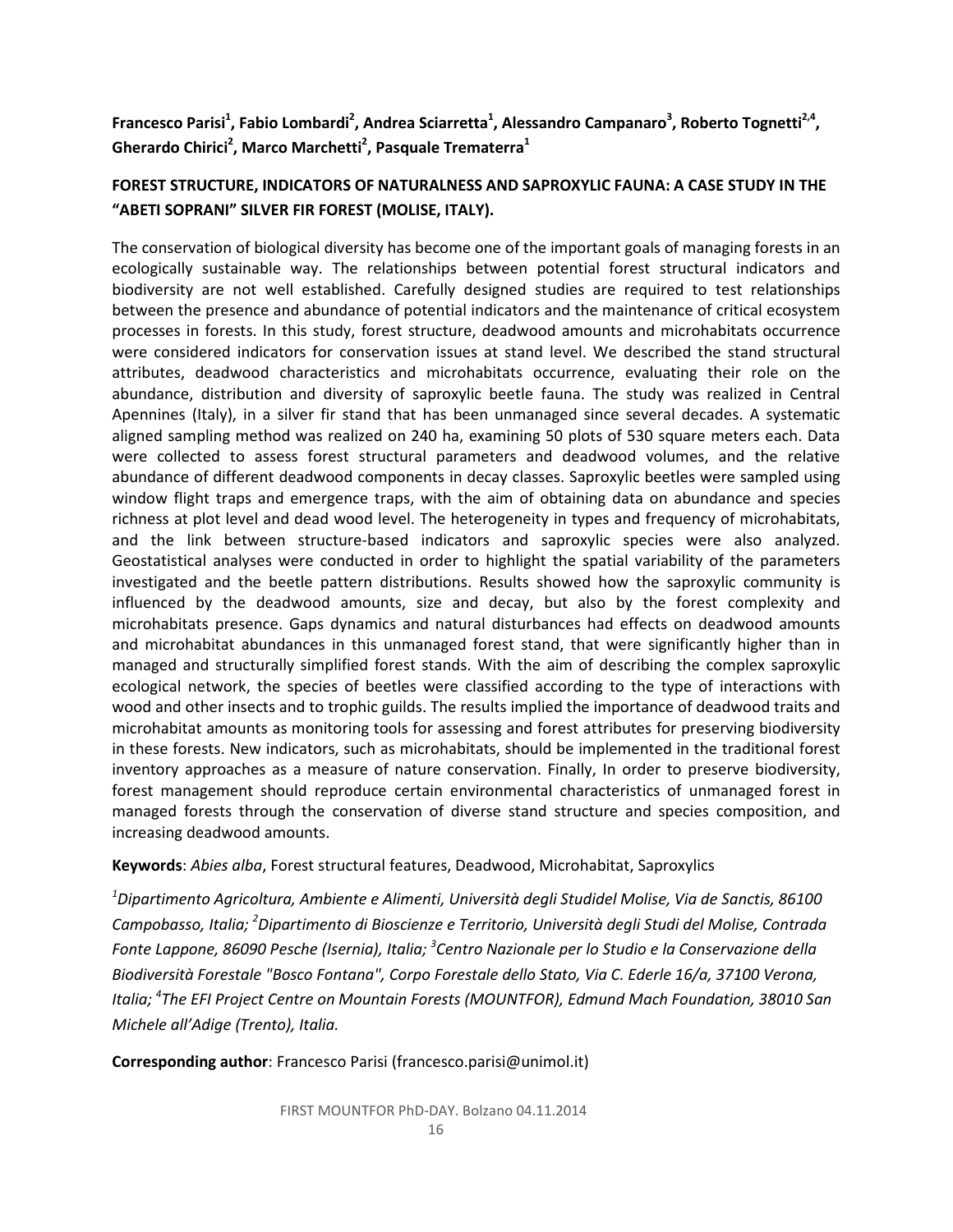#### Francesco Parisi<sup>1</sup>, Fabio Lombardi<sup>2</sup>, Andrea Sciarretta<sup>1</sup>, Alessandro Campanaro<sup>3</sup>, Roberto Tognetti<sup>2,4</sup>, Gherardo Chirici<sup>2</sup>, Marco Marchetti<sup>2</sup>, Pasquale Trematerra<sup>1</sup>

#### **FOREST STRUCTURE, INDICATORS OF NATURALNESS AND SAPROXYLIC FAUNA: A CASE STUDY IN THE "ABETI SOPRANI" SILVER FIR FOREST (MOLISE, ITALY).**

The conservation of biological diversity has become one of the important goals of managing forests in an ecologically sustainable way. The relationships between potential forest structural indicators and biodiversity are not well established. Carefully designed studies are required to test relationships between the presence and abundance of potential indicators and the maintenance of critical ecosystem processes in forests. In this study, forest structure, deadwood amounts and microhabitats occurrence were considered indicators for conservation issues at stand level. We described the stand structural attributes, deadwood characteristics and microhabitats occurrence, evaluating their role on the abundance, distribution and diversity of saproxylic beetle fauna. The study was realized in Central Apennines (Italy), in a silver fir stand that has been unmanaged since several decades. A systematic aligned sampling method was realized on 240 ha, examining 50 plots of 530 square meters each. Data were collected to assess forest structural parameters and deadwood volumes, and the relative abundance of different deadwood components in decay classes. Saproxylic beetles were sampled using window flight traps and emergence traps, with the aim of obtaining data on abundance and species richness at plot level and dead wood level. The heterogeneity in types and frequency of microhabitats, and the link between structure-based indicators and saproxylic species were also analyzed. Geostatistical analyses were conducted in order to highlight the spatial variability of the parameters investigated and the beetle pattern distributions. Results showed how the saproxylic community is influenced by the deadwood amounts, size and decay, but also by the forest complexity and microhabitats presence. Gaps dynamics and natural disturbances had effects on deadwood amounts and microhabitat abundances in this unmanaged forest stand, that were significantly higher than in managed and structurally simplified forest stands. With the aim of describing the complex saproxylic ecological network, the species of beetles were classified according to the type of interactions with wood and other insects and to trophic guilds. The results implied the importance of deadwood traits and microhabitat amounts as monitoring tools for assessing and forest attributes for preserving biodiversity in these forests. New indicators, such as microhabitats, should be implemented in the traditional forest inventory approaches as a measure of nature conservation. Finally, In order to preserve biodiversity, forest management should reproduce certain environmental characteristics of unmanaged forest in managed forests through the conservation of diverse stand structure and species composition, and increasing deadwood amounts.

#### **Keywords**: *Abies alba*, Forest structural features, Deadwood, Microhabitat, Saproxylics

*1 Dipartimento Agricoltura, Ambiente e Alimenti, Università degli Studidel Molise, Via de Sanctis, 86100 Campobasso, Italia; 2 Dipartimento di Bioscienze e Territorio, Università degli Studi del Molise, Contrada Fonte Lappone, 86090 Pesche (Isernia), Italia; 3 Centro Nazionale per lo Studio e la Conservazione della Biodiversità Forestale "Bosco Fontana", Corpo Forestale dello Stato, Via C. Ederle 16/a, 37100 Verona, Italia; 4 The EFI Project Centre on Mountain Forests (MOUNTFOR), Edmund Mach Foundation, 38010 San Michele all'Adige (Trento), Italia.*

#### **Corresponding author**: Francesco Parisi (francesco.parisi@unimol.it)

FIRST MOUNTFOR PhD-DAY. Bolzano 04.11.2014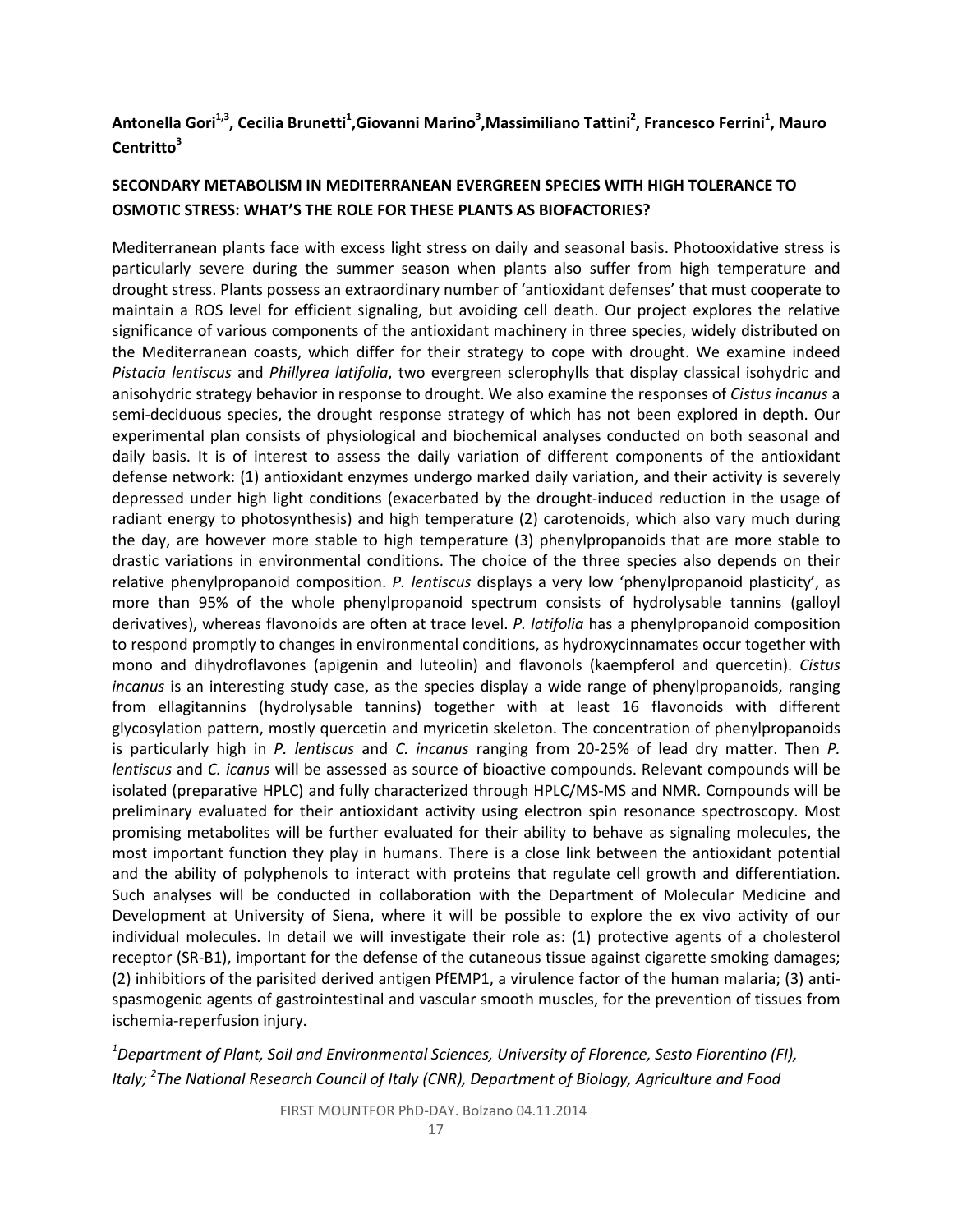#### Antonella Gori<sup>1,3</sup>, Cecilia Brunetti<sup>1</sup>,Giovanni Marino<sup>3</sup>,Massimiliano Tattini<sup>2</sup>, Francesco Ferrini<sup>1</sup>, Mauro **Centritto3**

#### **SECONDARY METABOLISM IN MEDITERRANEAN EVERGREEN SPECIES WITH HIGH TOLERANCE TO OSMOTIC STRESS: WHAT'S THE ROLE FOR THESE PLANTS AS BIOFACTORIES?**

Mediterranean plants face with excess light stress on daily and seasonal basis. Photooxidative stress is particularly severe during the summer season when plants also suffer from high temperature and drought stress. Plants possess an extraordinary number of 'antioxidant defenses' that must cooperate to maintain a ROS level for efficient signaling, but avoiding cell death. Our project explores the relative significance of various components of the antioxidant machinery in three species, widely distributed on the Mediterranean coasts, which differ for their strategy to cope with drought. We examine indeed *Pistacia lentiscus* and *Phillyrea latifolia*, two evergreen sclerophylls that display classical isohydric and anisohydric strategy behavior in response to drought. We also examine the responses of *Cistus incanus* a semi-deciduous species, the drought response strategy of which has not been explored in depth. Our experimental plan consists of physiological and biochemical analyses conducted on both seasonal and daily basis. It is of interest to assess the daily variation of different components of the antioxidant defense network: (1) antioxidant enzymes undergo marked daily variation, and their activity is severely depressed under high light conditions (exacerbated by the drought-induced reduction in the usage of radiant energy to photosynthesis) and high temperature (2) carotenoids, which also vary much during the day, are however more stable to high temperature (3) phenylpropanoids that are more stable to drastic variations in environmental conditions. The choice of the three species also depends on their relative phenylpropanoid composition. *P. lentiscus* displays a very low 'phenylpropanoid plasticity', as more than 95% of the whole phenylpropanoid spectrum consists of hydrolysable tannins (galloyl derivatives), whereas flavonoids are often at trace level. *P. latifolia* has a phenylpropanoid composition to respond promptly to changes in environmental conditions, as hydroxycinnamates occur together with mono and dihydroflavones (apigenin and luteolin) and flavonols (kaempferol and quercetin). *Cistus incanus* is an interesting study case, as the species display a wide range of phenylpropanoids, ranging from ellagitannins (hydrolysable tannins) together with at least 16 flavonoids with different glycosylation pattern, mostly quercetin and myricetin skeleton. The concentration of phenylpropanoids is particularly high in *P. lentiscus* and *C. incanus* ranging from 20-25% of lead dry matter. Then *P. lentiscus* and *C. icanus* will be assessed as source of bioactive compounds. Relevant compounds will be isolated (preparative HPLC) and fully characterized through HPLC/MS-MS and NMR. Compounds will be preliminary evaluated for their antioxidant activity using electron spin resonance spectroscopy. Most promising metabolites will be further evaluated for their ability to behave as signaling molecules, the most important function they play in humans. There is a close link between the antioxidant potential and the ability of polyphenols to interact with proteins that regulate cell growth and differentiation. Such analyses will be conducted in collaboration with the Department of Molecular Medicine and Development at University of Siena, where it will be possible to explore the ex vivo activity of our individual molecules. In detail we will investigate their role as: (1) protective agents of a cholesterol receptor (SR-B1), important for the defense of the cutaneous tissue against cigarette smoking damages; (2) inhibitiors of the parisited derived antigen PfEMP1, a virulence factor of the human malaria; (3) antispasmogenic agents of gastrointestinal and vascular smooth muscles, for the prevention of tissues from ischemia-reperfusion injury.

*1 Department of Plant, Soil and Environmental Sciences, University of Florence, Sesto Fiorentino (FI), Italy; 2 The National Research Council of Italy (CNR), Department of Biology, Agriculture and Food* 

FIRST MOUNTFOR PhD-DAY. Bolzano 04.11.2014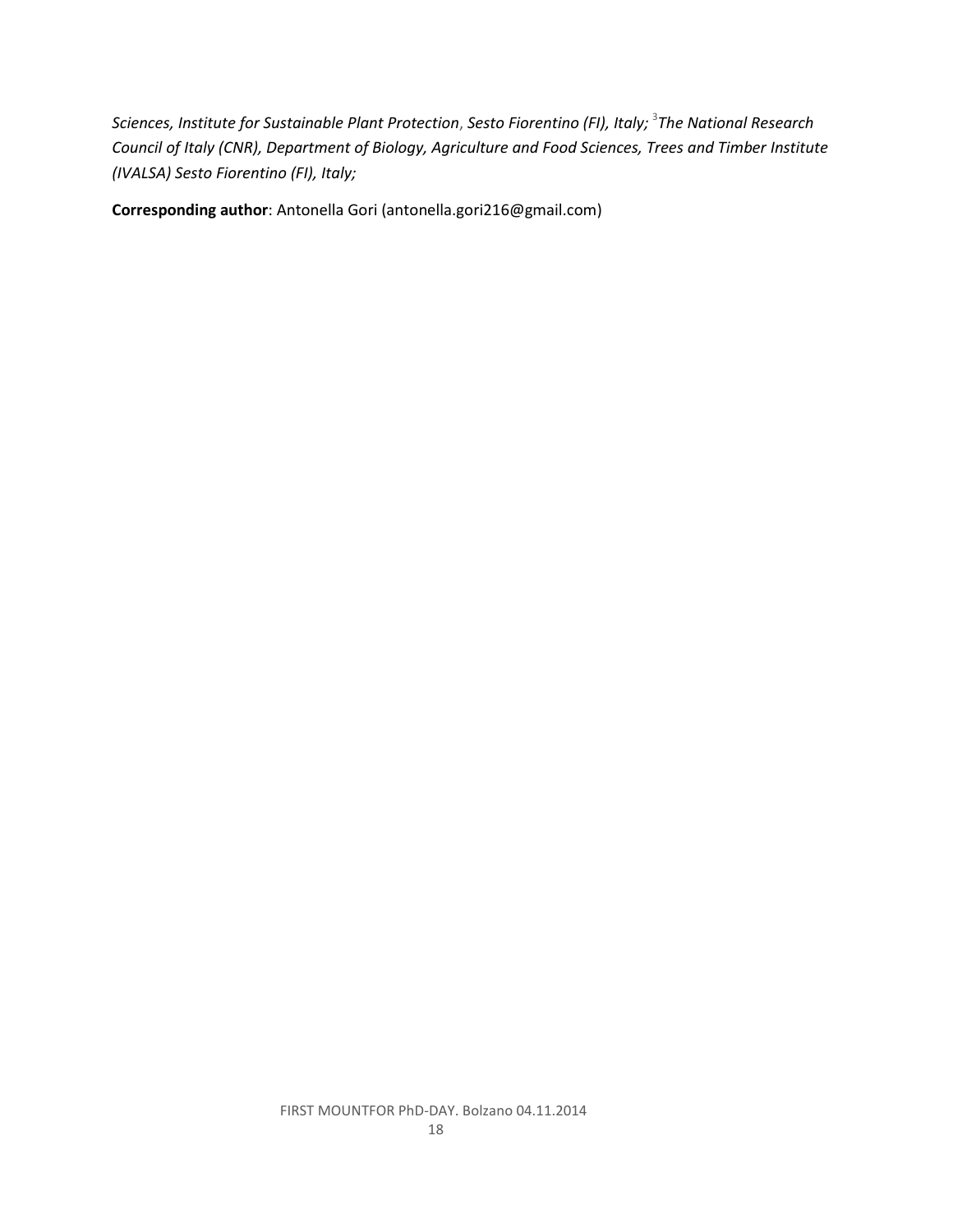*Sciences, Institute for Sustainable Plant Protection*, *Sesto Fiorentino (FI), Italy;* <sup>3</sup> *The National Research Council of Italy (CNR), Department of Biology, Agriculture and Food Sciences, Trees and Timber Institute (IVALSA) Sesto Fiorentino (FI), Italy;*

**Corresponding author**: Antonella Gori (antonella.gori216@gmail.com)

FIRST MOUNTFOR PhD-DAY. Bolzano 04.11.2014 18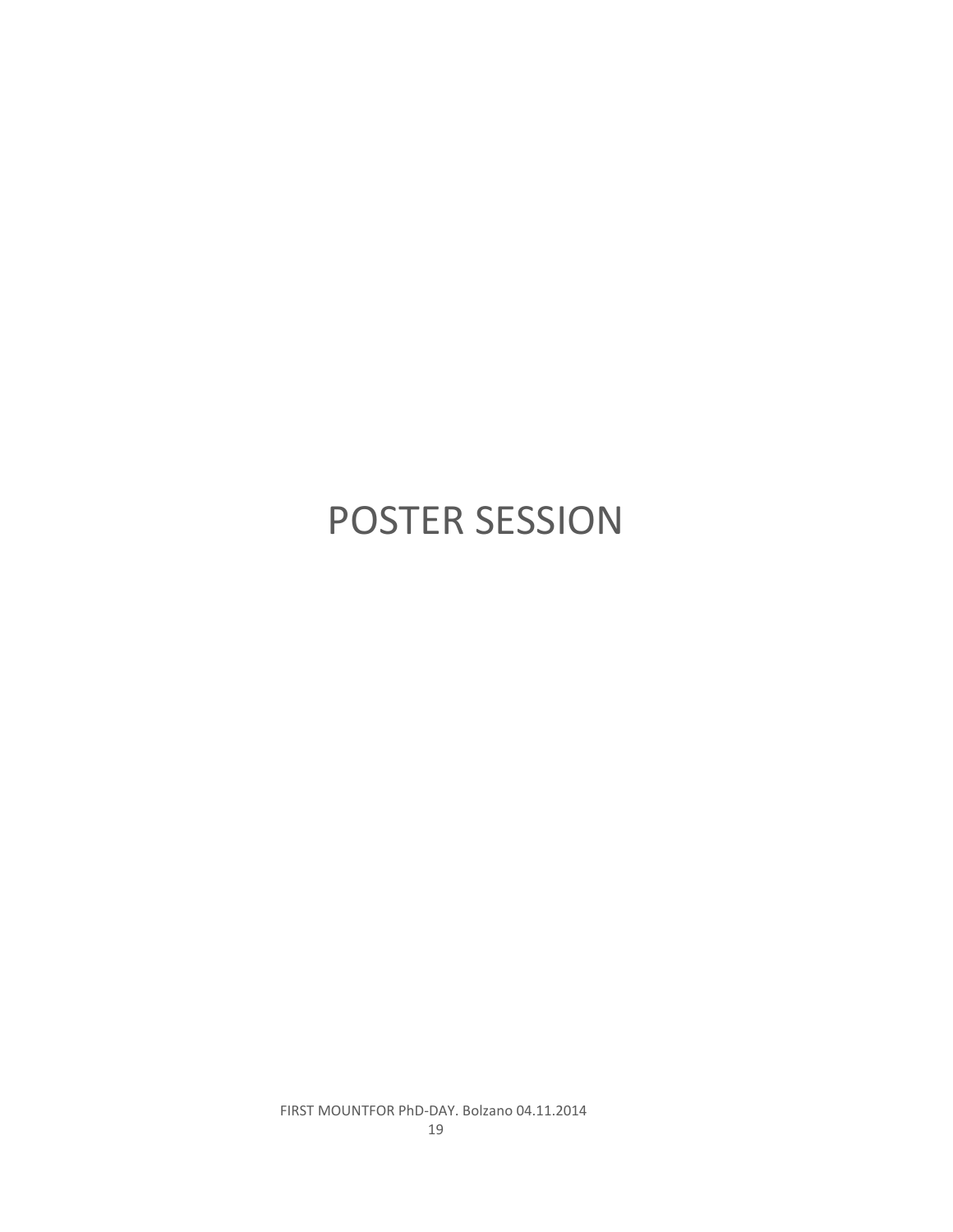# POSTER SESSION

FIRST MOUNTFOR PhD-DAY. Bolzano 04.11.2014 19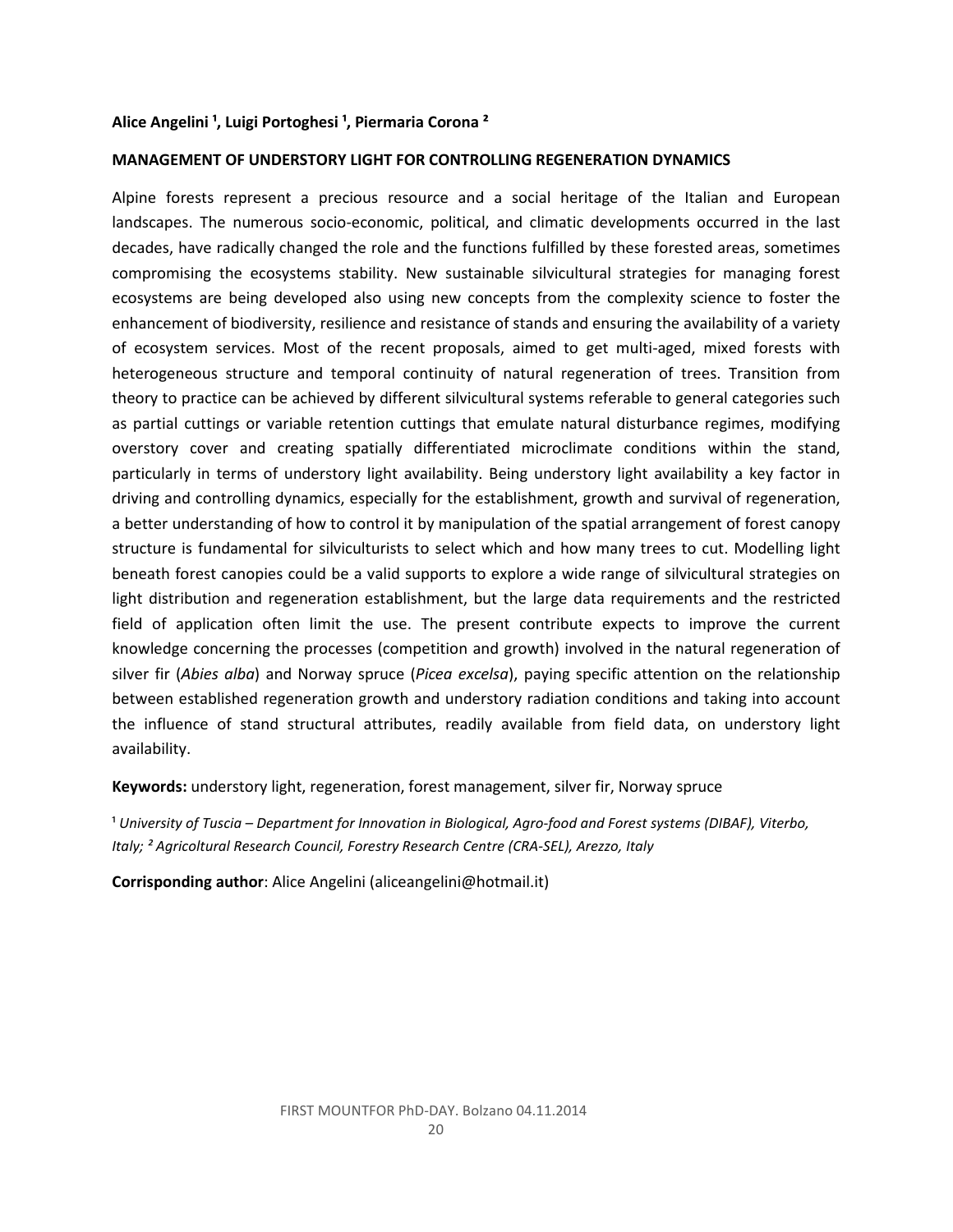#### Alice Angelini<sup>1</sup>, Luigi Portoghesi<sup>1</sup>, Piermaria Corona<sup>2</sup>

#### **MANAGEMENT OF UNDERSTORY LIGHT FOR CONTROLLING REGENERATION DYNAMICS**

Alpine forests represent a precious resource and a social heritage of the Italian and European landscapes. The numerous socio-economic, political, and climatic developments occurred in the last decades, have radically changed the role and the functions fulfilled by these forested areas, sometimes compromising the ecosystems stability. New sustainable silvicultural strategies for managing forest ecosystems are being developed also using new concepts from the complexity science to foster the enhancement of biodiversity, resilience and resistance of stands and ensuring the availability of a variety of ecosystem services. Most of the recent proposals, aimed to get multi-aged, mixed forests with heterogeneous structure and temporal continuity of natural regeneration of trees. Transition from theory to practice can be achieved by different silvicultural systems referable to general categories such as partial cuttings or variable retention cuttings that emulate natural disturbance regimes, modifying overstory cover and creating spatially differentiated microclimate conditions within the stand, particularly in terms of understory light availability. Being understory light availability a key factor in driving and controlling dynamics, especially for the establishment, growth and survival of regeneration, a better understanding of how to control it by manipulation of the spatial arrangement of forest canopy structure is fundamental for silviculturists to select which and how many trees to cut. Modelling light beneath forest canopies could be a valid supports to explore a wide range of silvicultural strategies on light distribution and regeneration establishment, but the large data requirements and the restricted field of application often limit the use. The present contribute expects to improve the current knowledge concerning the processes (competition and growth) involved in the natural regeneration of silver fir (*Abies alba*) and Norway spruce (*Picea excelsa*), paying specific attention on the relationship between established regeneration growth and understory radiation conditions and taking into account the influence of stand structural attributes, readily available from field data, on understory light availability.

**Keywords:** understory light, regeneration, forest management, silver fir, Norway spruce

<sup>1</sup> University of Tuscia – Department for Innovation in Biological, Agro-food and Forest systems (DIBAF), Viterbo, *Italy; ² Agricoltural Research Council, Forestry Research Centre (CRA-SEL), Arezzo, Italy*

**Corrisponding author**: Alice Angelini (aliceangelini@hotmail.it)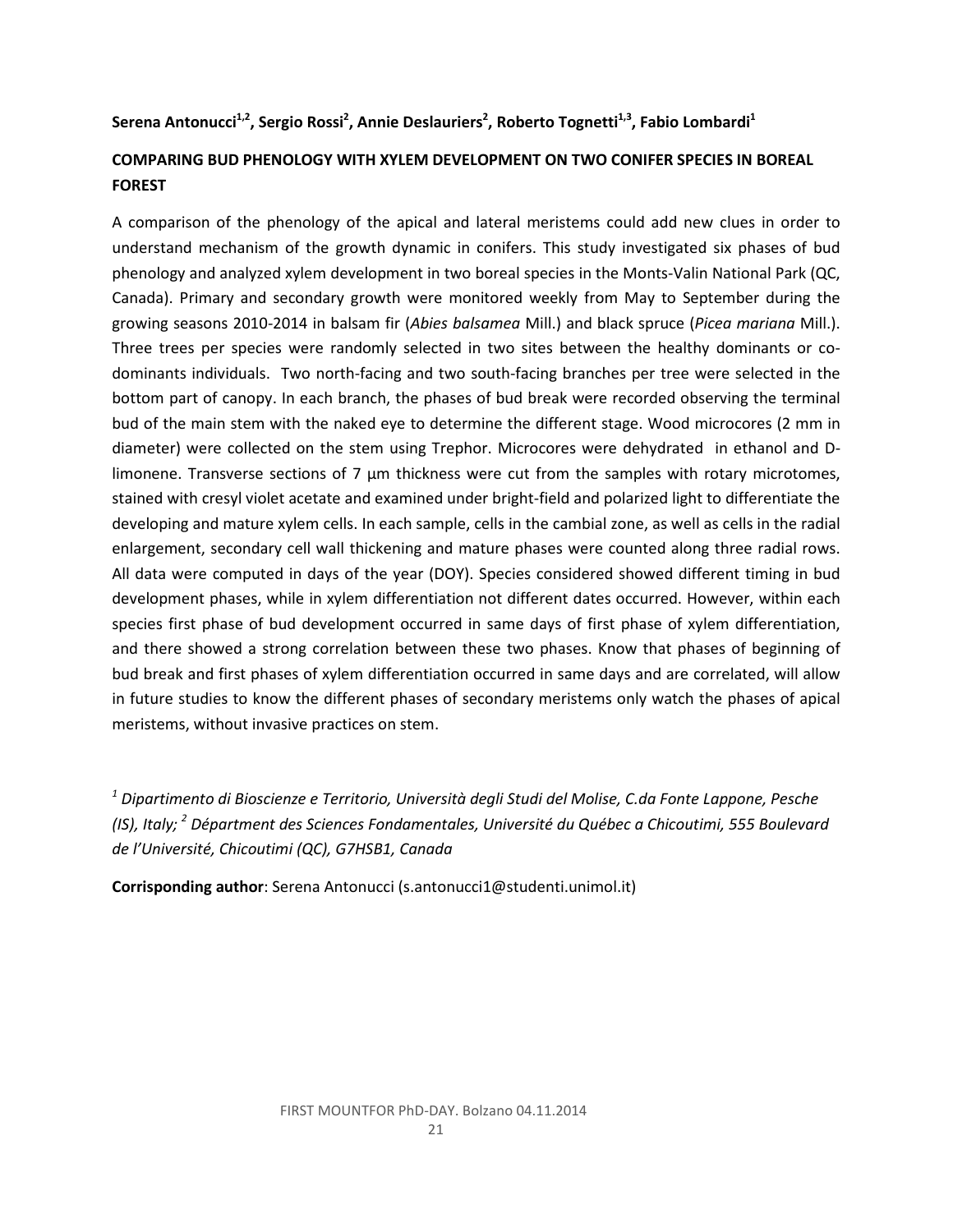#### Serena Antonucci<sup>1,2</sup>, Sergio Rossi<sup>2</sup>, Annie Deslauriers<sup>2</sup>, Roberto Tognetti<sup>1,3</sup>, Fabio Lombardi<sup>1</sup>

#### **COMPARING BUD PHENOLOGY WITH XYLEM DEVELOPMENT ON TWO CONIFER SPECIES IN BOREAL FOREST**

A comparison of the phenology of the apical and lateral meristems could add new clues in order to understand mechanism of the growth dynamic in conifers. This study investigated six phases of bud phenology and analyzed xylem development in two boreal species in the Monts-Valin National Park (QC, Canada). Primary and secondary growth were monitored weekly from May to September during the growing seasons 2010-2014 in balsam fir (*Abies balsamea* Mill.) and black spruce (*Picea mariana* Mill.). Three trees per species were randomly selected in two sites between the healthy dominants or codominants individuals. Two north-facing and two south-facing branches per tree were selected in the bottom part of canopy. In each branch, the phases of bud break were recorded observing the terminal bud of the main stem with the naked eye to determine the different stage. Wood microcores (2 mm in diameter) were collected on the stem using Trephor. Microcores were dehydrated in ethanol and Dlimonene. Transverse sections of 7  $\mu$ m thickness were cut from the samples with rotary microtomes, stained with cresyl violet acetate and examined under bright-field and polarized light to differentiate the developing and mature xylem cells. In each sample, cells in the cambial zone, as well as cells in the radial enlargement, secondary cell wall thickening and mature phases were counted along three radial rows. All data were computed in days of the year (DOY). Species considered showed different timing in bud development phases, while in xylem differentiation not different dates occurred. However, within each species first phase of bud development occurred in same days of first phase of xylem differentiation, and there showed a strong correlation between these two phases. Know that phases of beginning of bud break and first phases of xylem differentiation occurred in same days and are correlated, will allow in future studies to know the different phases of secondary meristems only watch the phases of apical meristems, without invasive practices on stem.

*<sup>1</sup> Dipartimento di Bioscienze e Territorio, Università degli Studi del Molise, C.da Fonte Lappone, Pesche (IS), Italy; 2 Départment des Sciences Fondamentales, Université du Québec a Chicoutimi, 555 Boulevard de l'Université, Chicoutimi (QC), G7HSB1, Canada* 

**Corrisponding author**: Serena Antonucci (s.antonucci1@studenti.unimol.it)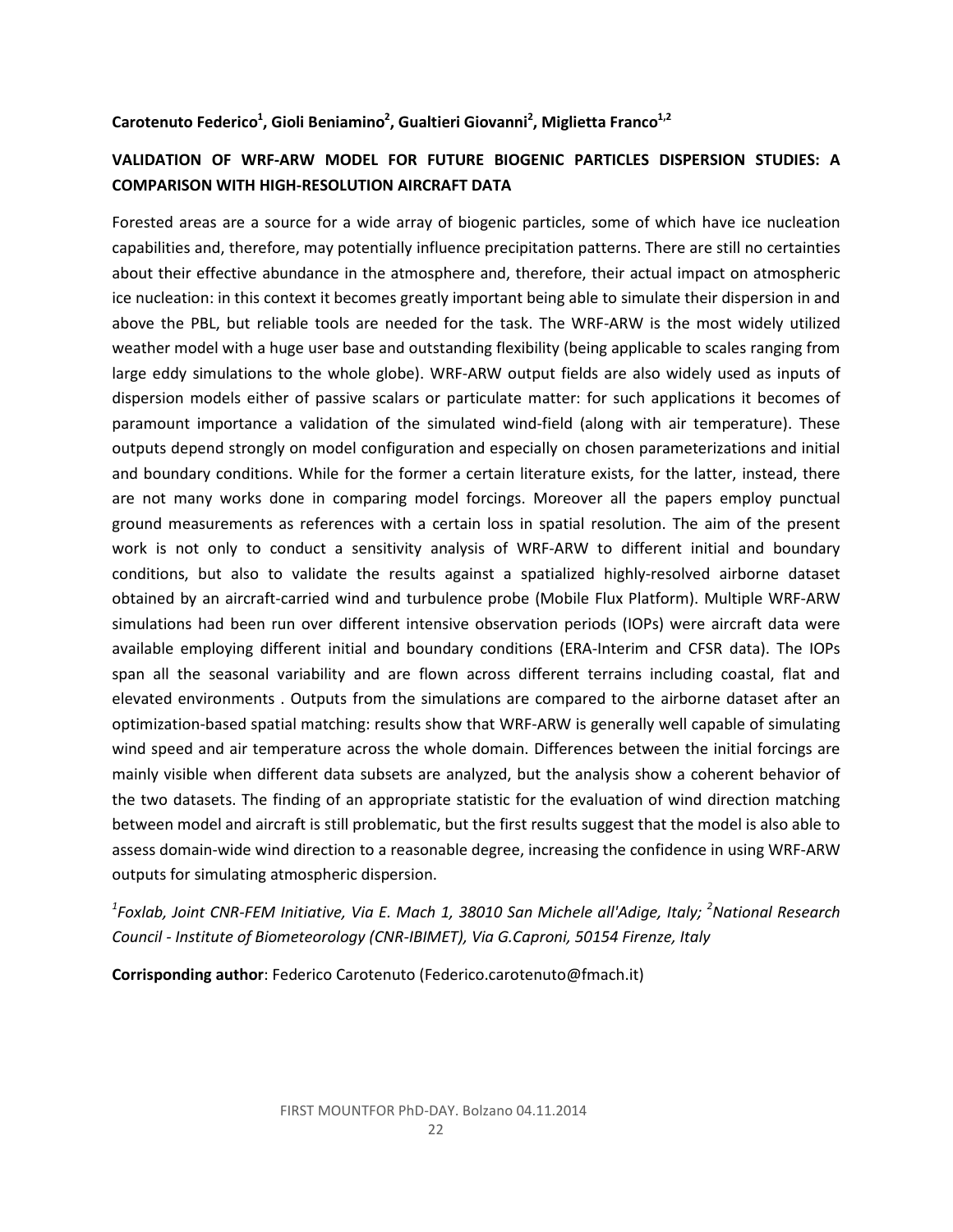#### Carotenuto Federico<sup>1</sup>, Gioli Beniamino<sup>2</sup>, Gualtieri Giovanni<sup>2</sup>, Miglietta Franco<sup>1,2</sup>

#### **VALIDATION OF WRF-ARW MODEL FOR FUTURE BIOGENIC PARTICLES DISPERSION STUDIES: A COMPARISON WITH HIGH-RESOLUTION AIRCRAFT DATA**

Forested areas are a source for a wide array of biogenic particles, some of which have ice nucleation capabilities and, therefore, may potentially influence precipitation patterns. There are still no certainties about their effective abundance in the atmosphere and, therefore, their actual impact on atmospheric ice nucleation: in this context it becomes greatly important being able to simulate their dispersion in and above the PBL, but reliable tools are needed for the task. The WRF-ARW is the most widely utilized weather model with a huge user base and outstanding flexibility (being applicable to scales ranging from large eddy simulations to the whole globe). WRF-ARW output fields are also widely used as inputs of dispersion models either of passive scalars or particulate matter: for such applications it becomes of paramount importance a validation of the simulated wind-field (along with air temperature). These outputs depend strongly on model configuration and especially on chosen parameterizations and initial and boundary conditions. While for the former a certain literature exists, for the latter, instead, there are not many works done in comparing model forcings. Moreover all the papers employ punctual ground measurements as references with a certain loss in spatial resolution. The aim of the present work is not only to conduct a sensitivity analysis of WRF-ARW to different initial and boundary conditions, but also to validate the results against a spatialized highly-resolved airborne dataset obtained by an aircraft-carried wind and turbulence probe (Mobile Flux Platform). Multiple WRF-ARW simulations had been run over different intensive observation periods (IOPs) were aircraft data were available employing different initial and boundary conditions (ERA-Interim and CFSR data). The IOPs span all the seasonal variability and are flown across different terrains including coastal, flat and elevated environments . Outputs from the simulations are compared to the airborne dataset after an optimization-based spatial matching: results show that WRF-ARW is generally well capable of simulating wind speed and air temperature across the whole domain. Differences between the initial forcings are mainly visible when different data subsets are analyzed, but the analysis show a coherent behavior of the two datasets. The finding of an appropriate statistic for the evaluation of wind direction matching between model and aircraft is still problematic, but the first results suggest that the model is also able to assess domain-wide wind direction to a reasonable degree, increasing the confidence in using WRF-ARW outputs for simulating atmospheric dispersion.

*1 Foxlab, Joint CNR-FEM Initiative, Via E. Mach 1, 38010 San Michele all'Adige, Italy; <sup>2</sup> National Research Council - Institute of Biometeorology (CNR-IBIMET), Via G.Caproni, 50154 Firenze, Italy*

**Corrisponding author**: Federico Carotenuto (Federico.carotenuto@fmach.it)

FIRST MOUNTFOR PhD-DAY. Bolzano 04.11.2014 <u>22</u> and 22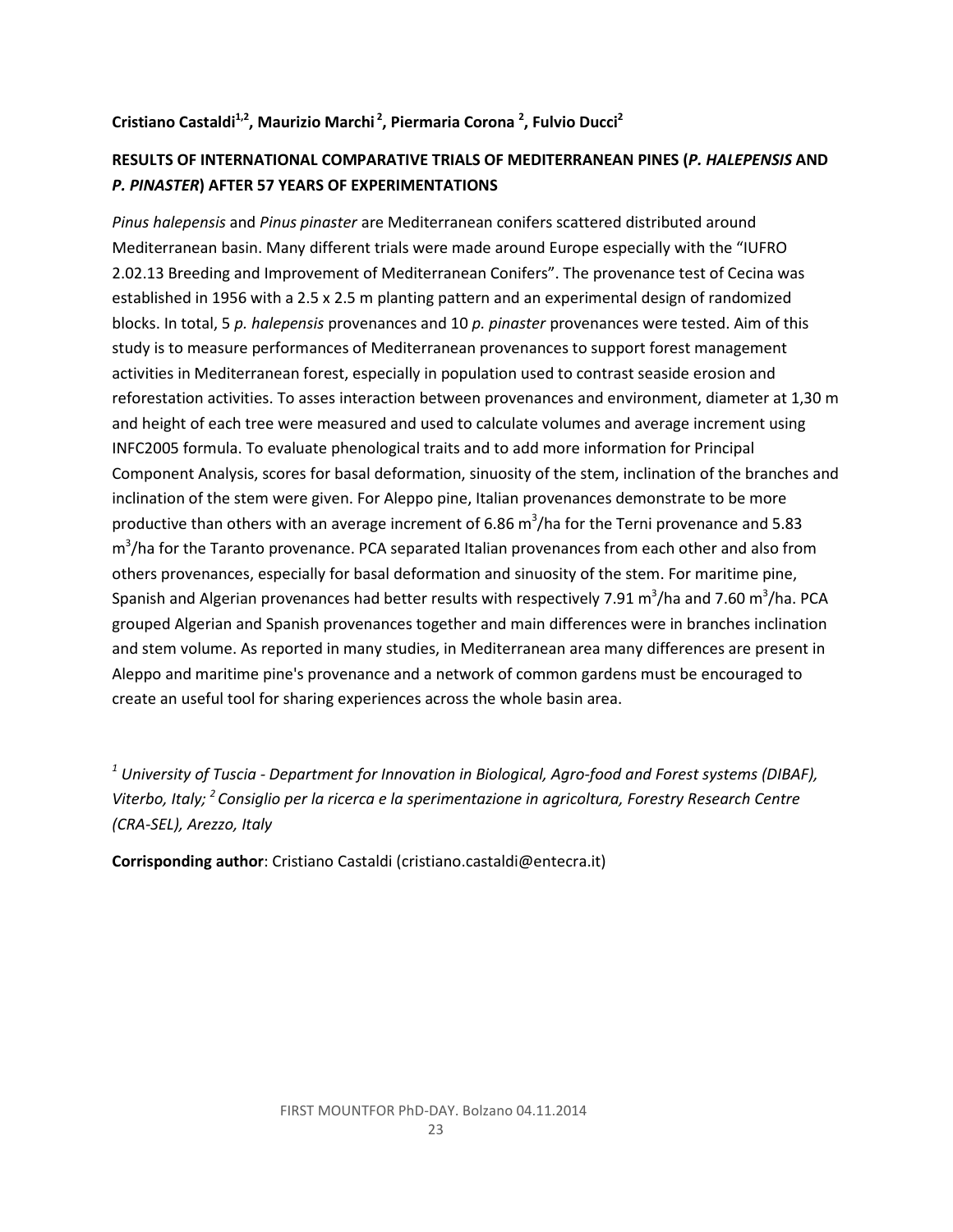#### **Cristiano Castaldi1,2, Maurizio Marchi <sup>2</sup> , Piermaria Corona <sup>2</sup> , Fulvio Ducci2**

#### **RESULTS OF INTERNATIONAL COMPARATIVE TRIALS OF MEDITERRANEAN PINES (***P. HALEPENSIS* **AND**  *P. PINASTER***) AFTER 57 YEARS OF EXPERIMENTATIONS**

*Pinus halepensis* and *Pinus pinaster* are Mediterranean conifers scattered distributed around Mediterranean basin. Many different trials were made around Europe especially with the "IUFRO 2.02.13 Breeding and Improvement of Mediterranean Conifers". The provenance test of Cecina was established in 1956 with a 2.5 x 2.5 m planting pattern and an experimental design of randomized blocks. In total, 5 *p. halepensis* provenances and 10 *p. pinaster* provenances were tested. Aim of this study is to measure performances of Mediterranean provenances to support forest management activities in Mediterranean forest, especially in population used to contrast seaside erosion and reforestation activities. To asses interaction between provenances and environment, diameter at 1,30 m and height of each tree were measured and used to calculate volumes and average increment using INFC2005 formula. To evaluate phenological traits and to add more information for Principal Component Analysis, scores for basal deformation, sinuosity of the stem, inclination of the branches and inclination of the stem were given. For Aleppo pine, Italian provenances demonstrate to be more productive than others with an average increment of 6.86 m<sup>3</sup>/ha for the Terni provenance and 5.83 m<sup>3</sup>/ha for the Taranto provenance. PCA separated Italian provenances from each other and also from others provenances, especially for basal deformation and sinuosity of the stem. For maritime pine, Spanish and Algerian provenances had better results with respectively 7.91 m<sup>3</sup>/ha and 7.60 m<sup>3</sup>/ha. PCA grouped Algerian and Spanish provenances together and main differences were in branches inclination and stem volume. As reported in many studies, in Mediterranean area many differences are present in Aleppo and maritime pine's provenance and a network of common gardens must be encouraged to create an useful tool for sharing experiences across the whole basin area.

*<sup>1</sup> University of Tuscia - Department for Innovation in Biological, Agro-food and Forest systems (DIBAF), Viterbo, Italy; 2 Consiglio per la ricerca e la sperimentazione in agricoltura, Forestry Research Centre (CRA-SEL), Arezzo, Italy*

**Corrisponding author**: Cristiano Castaldi (cristiano.castaldi@entecra.it)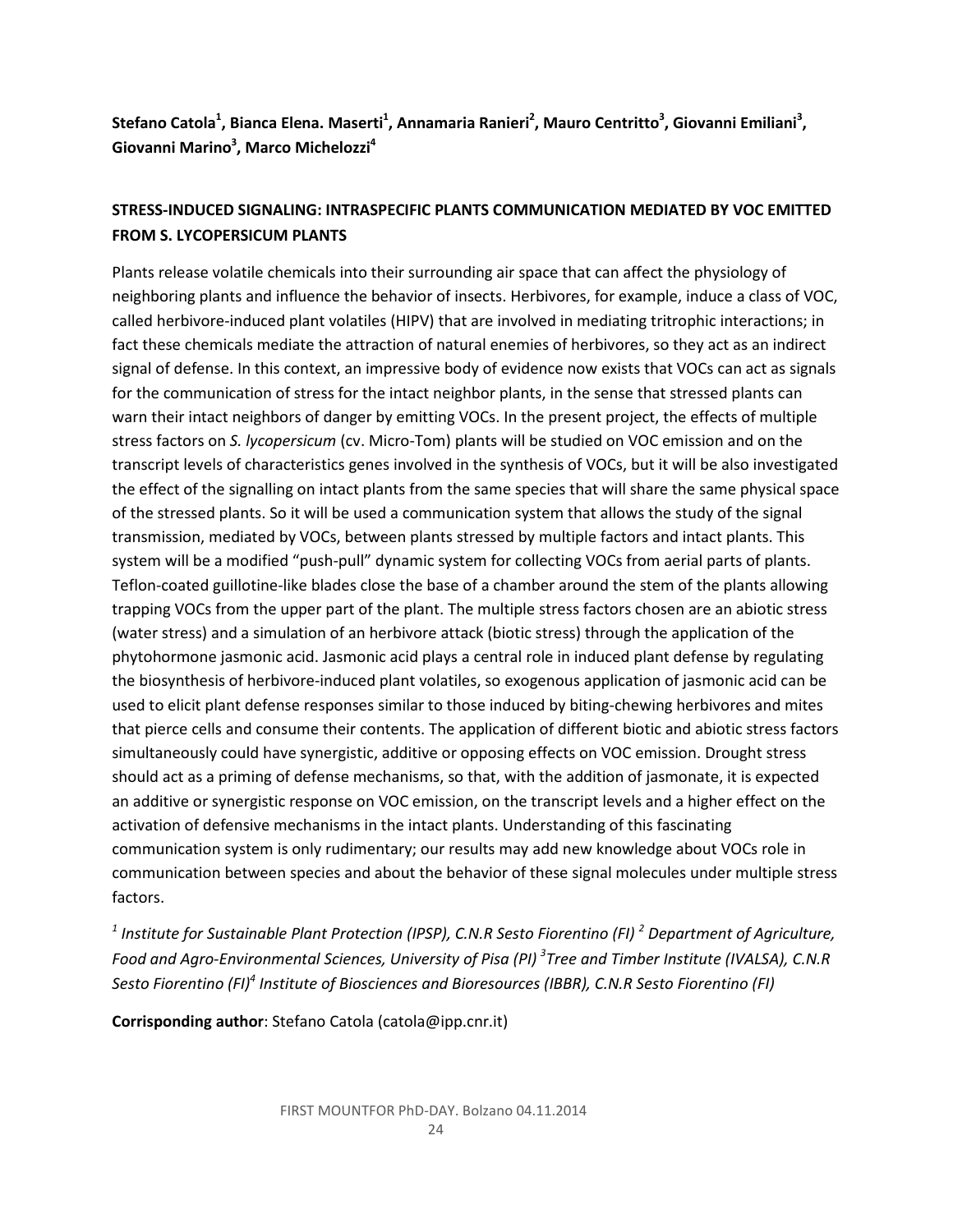#### $\mathsf{Stefano\,\,}$ Catola $^1$ , Bianca Elena. Maserti $^1$ , Annamaria Ranieri $^2$ , Mauro Centritto $^3$ , Giovanni Emiliani $^3$ , **Giovanni Marino3 , Marco Michelozzi4**

#### **STRESS-INDUCED SIGNALING: INTRASPECIFIC PLANTS COMMUNICATION MEDIATED BY VOC EMITTED FROM S. LYCOPERSICUM PLANTS**

Plants release volatile chemicals into their surrounding air space that can affect the physiology of neighboring plants and influence the behavior of insects. Herbivores, for example, induce a class of VOC, called herbivore-induced plant volatiles (HIPV) that are involved in mediating tritrophic interactions; in fact these chemicals mediate the attraction of natural enemies of herbivores, so they act as an indirect signal of defense. In this context, an impressive body of evidence now exists that VOCs can act as signals for the communication of stress for the intact neighbor plants, in the sense that stressed plants can warn their intact neighbors of danger by emitting VOCs. In the present project, the effects of multiple stress factors on *S. lycopersicum* (cv. Micro-Tom) plants will be studied on VOC emission and on the transcript levels of characteristics genes involved in the synthesis of VOCs, but it will be also investigated the effect of the signalling on intact plants from the same species that will share the same physical space of the stressed plants. So it will be used a communication system that allows the study of the signal transmission, mediated by VOCs, between plants stressed by multiple factors and intact plants. This system will be a modified "push-pull" dynamic system for collecting VOCs from aerial parts of plants. Teflon-coated guillotine-like blades close the base of a chamber around the stem of the plants allowing trapping VOCs from the upper part of the plant. The multiple stress factors chosen are an abiotic stress (water stress) and a simulation of an herbivore attack (biotic stress) through the application of the phytohormone jasmonic acid. Jasmonic acid plays a central role in induced plant defense by regulating the biosynthesis of herbivore-induced plant volatiles, so exogenous application of jasmonic acid can be used to elicit plant defense responses similar to those induced by biting-chewing herbivores and mites that pierce cells and consume their contents. The application of different biotic and abiotic stress factors simultaneously could have synergistic, additive or opposing effects on VOC emission. Drought stress should act as a priming of defense mechanisms, so that, with the addition of jasmonate, it is expected an additive or synergistic response on VOC emission, on the transcript levels and a higher effect on the activation of defensive mechanisms in the intact plants. Understanding of this fascinating communication system is only rudimentary; our results may add new knowledge about VOCs role in communication between species and about the behavior of these signal molecules under multiple stress factors.

*<sup>1</sup> Institute for Sustainable Plant Protection (IPSP), C.N.R Sesto Fiorentino (FI) 2 Department of Agriculture, Food and Agro-Environmental Sciences, University of Pisa (PI) 3 Tree and Timber Institute (IVALSA), C.N.R Sesto Fiorentino (FI)4 Institute of Biosciences and Bioresources (IBBR), C.N.R Sesto Fiorentino (FI)*

**Corrisponding author**: Stefano Catola (catola@ipp.cnr.it)

FIRST MOUNTFOR PhD-DAY. Bolzano 04.11.2014 24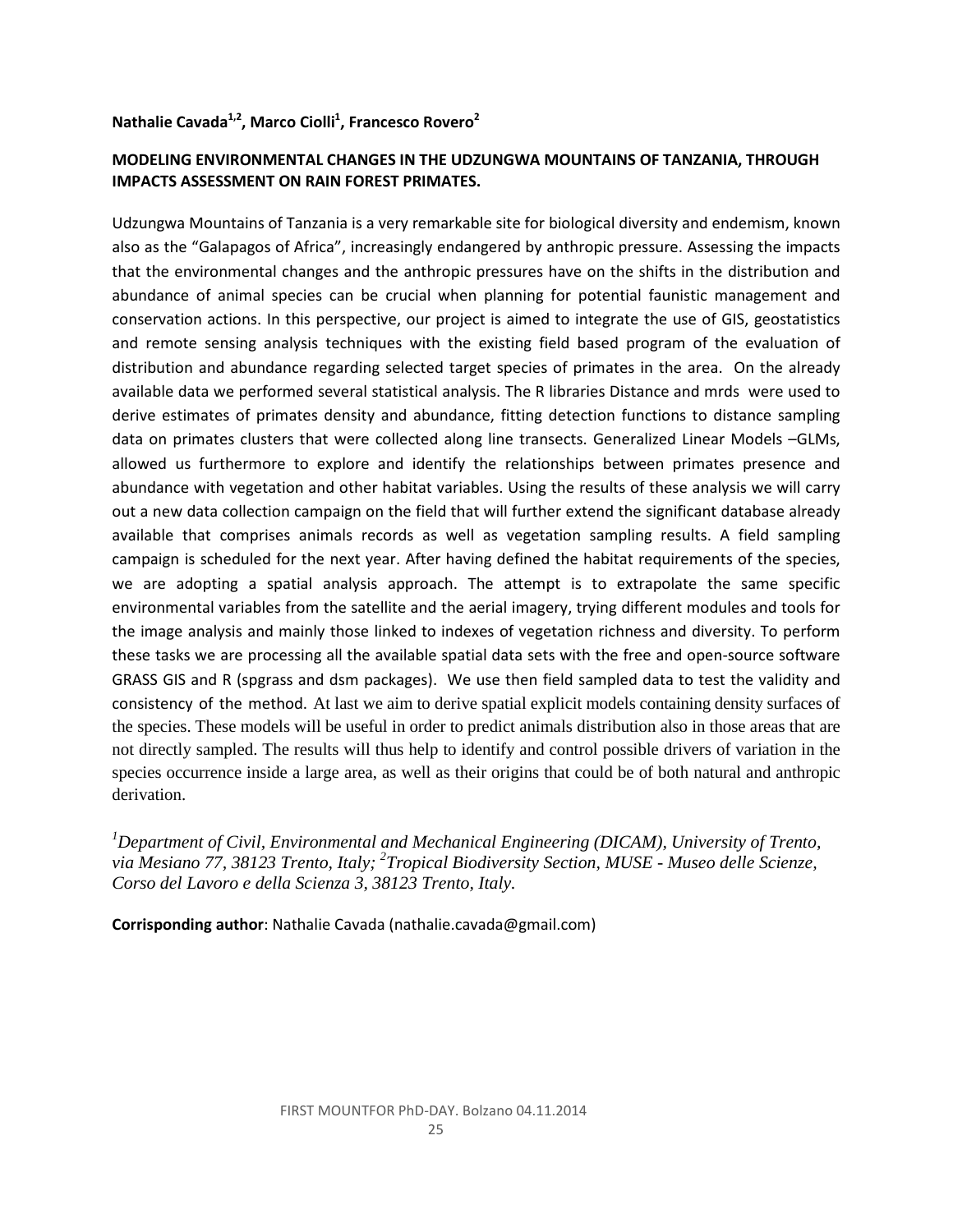#### Nathalie Cavada<sup>1,2</sup>, Marco Ciolli<sup>1</sup>, Francesco Rovero<sup>2</sup>

#### **MODELING ENVIRONMENTAL CHANGES IN THE UDZUNGWA MOUNTAINS OF TANZANIA, THROUGH IMPACTS ASSESSMENT ON RAIN FOREST PRIMATES.**

Udzungwa Mountains of Tanzania is a very remarkable site for biological diversity and endemism, known also as the "Galapagos of Africa", increasingly endangered by anthropic pressure. Assessing the impacts that the environmental changes and the anthropic pressures have on the shifts in the distribution and abundance of animal species can be crucial when planning for potential faunistic management and conservation actions. In this perspective, our project is aimed to integrate the use of GIS, geostatistics and remote sensing analysis techniques with the existing field based program of the evaluation of distribution and abundance regarding selected target species of primates in the area. On the already available data we performed several statistical analysis. The R libraries Distance and mrds were used to derive estimates of primates density and abundance, fitting detection functions to distance sampling data on primates clusters that were collected along line transects. Generalized Linear Models –GLMs, allowed us furthermore to explore and identify the relationships between primates presence and abundance with vegetation and other habitat variables. Using the results of these analysis we will carry out a new data collection campaign on the field that will further extend the significant database already available that comprises animals records as well as vegetation sampling results. A field sampling campaign is scheduled for the next year. After having defined the habitat requirements of the species, we are adopting a spatial analysis approach. The attempt is to extrapolate the same specific environmental variables from the satellite and the aerial imagery, trying different modules and tools for the image analysis and mainly those linked to indexes of vegetation richness and diversity. To perform these tasks we are processing all the available spatial data sets with the free and open-source software GRASS GIS and R (spgrass and dsm packages). We use then field sampled data to test the validity and consistency of the method. At last we aim to derive spatial explicit models containing density surfaces of the species. These models will be useful in order to predict animals distribution also in those areas that are not directly sampled. The results will thus help to identify and control possible drivers of variation in the species occurrence inside a large area, as well as their origins that could be of both natural and anthropic derivation.

*1 Department of Civil, Environmental and Mechanical Engineering (DICAM), University of Trento, via Mesiano 77, 38123 Trento, Italy; 2 Tropical Biodiversity Section, MUSE - Museo delle Scienze, Corso del Lavoro e della Scienza 3, 38123 Trento, Italy.*

**Corrisponding author**: Nathalie Cavada (nathalie.cavada@gmail.com)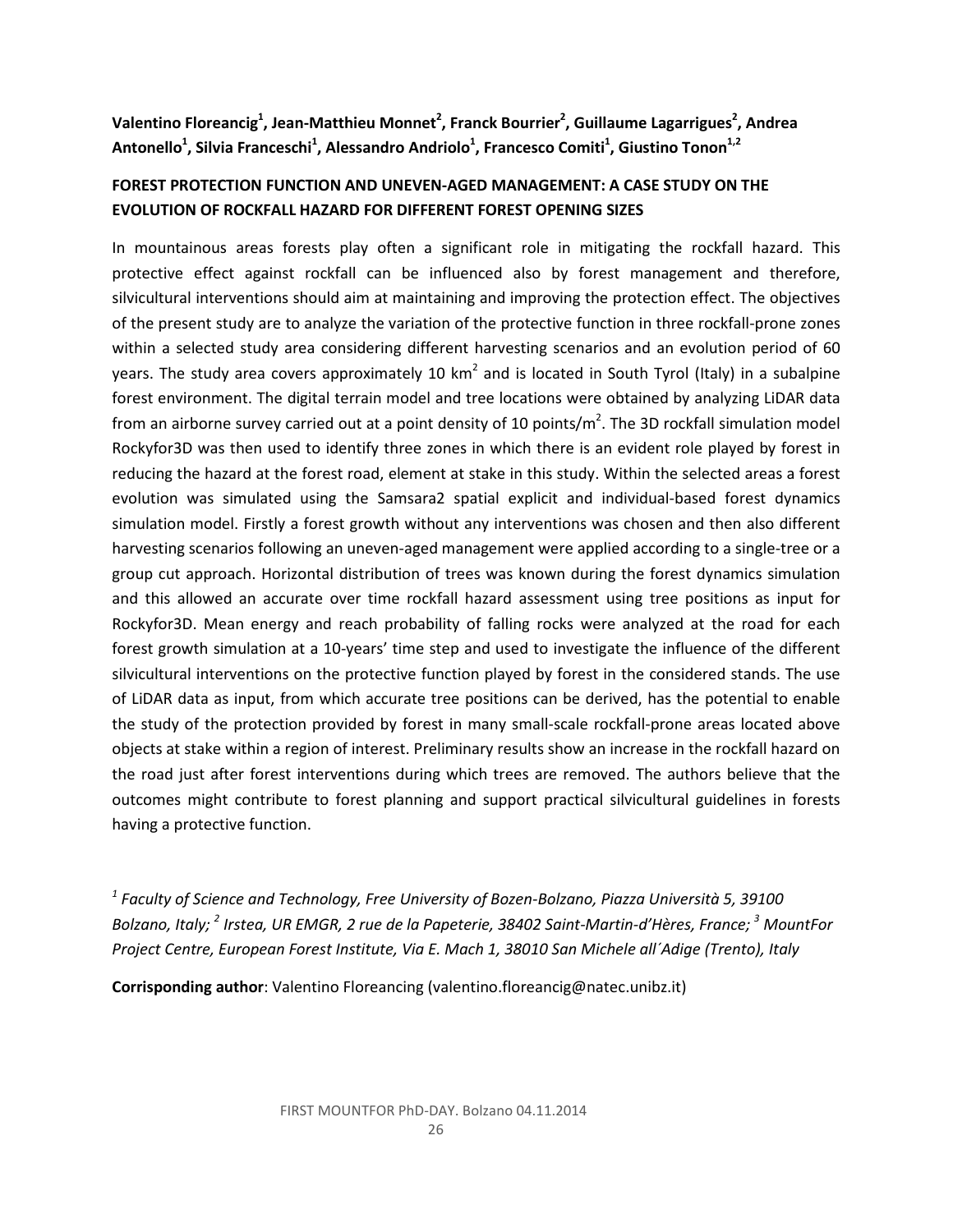Valentino Floreancig<sup>1</sup>, Jean-Matthieu Monnet<sup>2</sup>, Franck Bourrier<sup>2</sup>, Guillaume Lagarrigues<sup>2</sup>, Andrea **Antonello1 , Silvia Franceschi<sup>1</sup> , Alessandro Andriolo1 , Francesco Comiti1 , Giustino Tonon1,2**

#### **FOREST PROTECTION FUNCTION AND UNEVEN-AGED MANAGEMENT: A CASE STUDY ON THE EVOLUTION OF ROCKFALL HAZARD FOR DIFFERENT FOREST OPENING SIZES**

In mountainous areas forests play often a significant role in mitigating the rockfall hazard. This protective effect against rockfall can be influenced also by forest management and therefore, silvicultural interventions should aim at maintaining and improving the protection effect. The objectives of the present study are to analyze the variation of the protective function in three rockfall-prone zones within a selected study area considering different harvesting scenarios and an evolution period of 60 years. The study area covers approximately 10 km<sup>2</sup> and is located in South Tyrol (Italy) in a subalpine forest environment. The digital terrain model and tree locations were obtained by analyzing LiDAR data from an airborne survey carried out at a point density of 10 points/m<sup>2</sup>. The 3D rockfall simulation model Rockyfor3D was then used to identify three zones in which there is an evident role played by forest in reducing the hazard at the forest road, element at stake in this study. Within the selected areas a forest evolution was simulated using the Samsara2 spatial explicit and individual-based forest dynamics simulation model. Firstly a forest growth without any interventions was chosen and then also different harvesting scenarios following an uneven-aged management were applied according to a single-tree or a group cut approach. Horizontal distribution of trees was known during the forest dynamics simulation and this allowed an accurate over time rockfall hazard assessment using tree positions as input for Rockyfor3D. Mean energy and reach probability of falling rocks were analyzed at the road for each forest growth simulation at a 10-years' time step and used to investigate the influence of the different silvicultural interventions on the protective function played by forest in the considered stands. The use of LiDAR data as input, from which accurate tree positions can be derived, has the potential to enable the study of the protection provided by forest in many small-scale rockfall-prone areas located above objects at stake within a region of interest. Preliminary results show an increase in the rockfall hazard on the road just after forest interventions during which trees are removed. The authors believe that the outcomes might contribute to forest planning and support practical silvicultural guidelines in forests having a protective function.

*<sup>1</sup> Faculty of Science and Technology, Free University of Bozen-Bolzano, Piazza Università 5, 39100 Bolzano, Italy; 2 Irstea, UR EMGR, 2 rue de la Papeterie, 38402 Saint-Martin-d'Hères, France; 3 MountFor Project Centre, European Forest Institute, Via E. Mach 1, 38010 San Michele all´Adige (Trento), Italy*

**Corrisponding author**: Valentino Floreancing (valentino.floreancig@natec.unibz.it)

FIRST MOUNTFOR PhD-DAY. Bolzano 04.11.2014 <u>26</u> and 26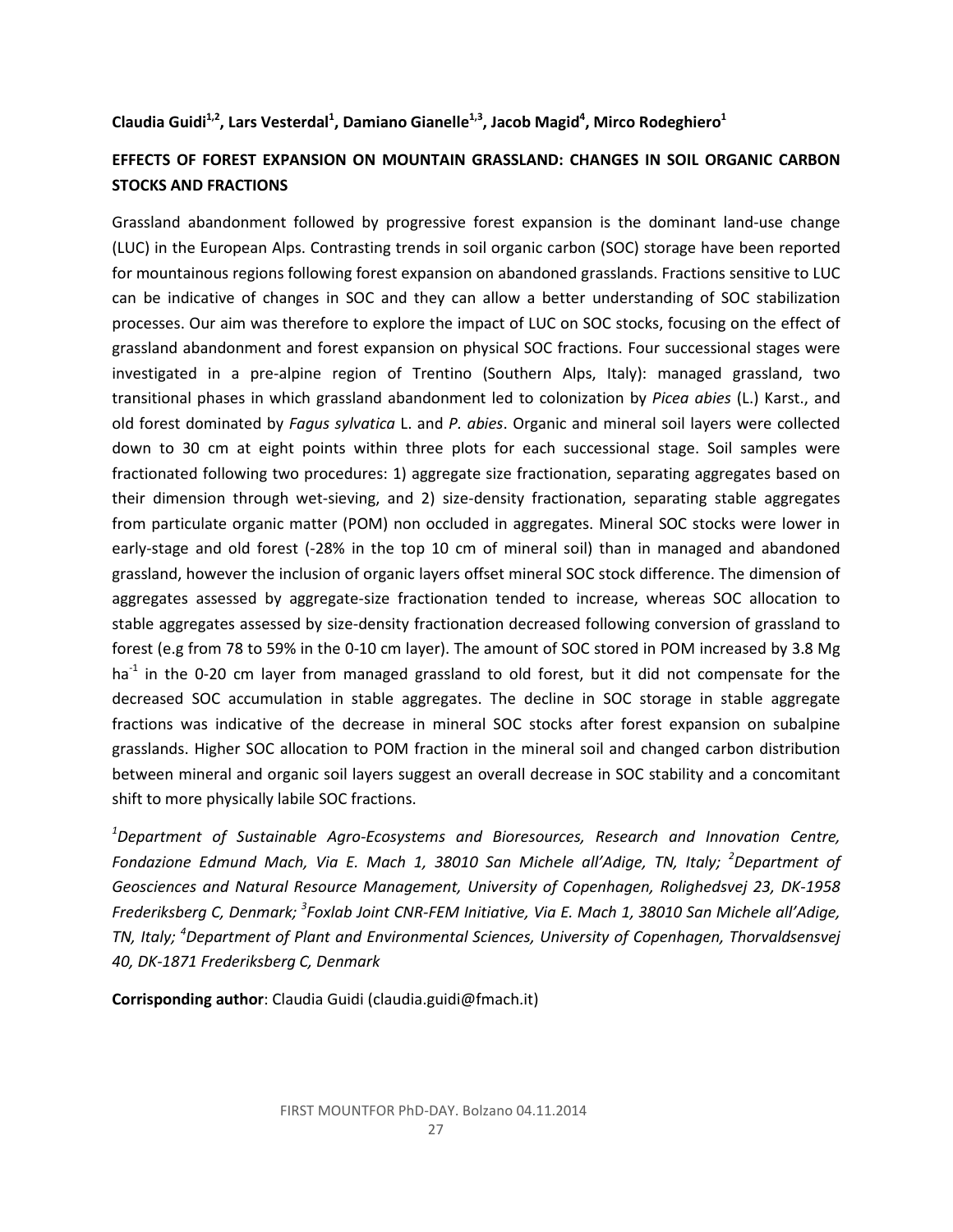#### Claudia Guidi<sup>1,2</sup>, Lars Vesterdal<sup>1</sup>, Damiano Gianelle<sup>1,3</sup>, Jacob Magid<sup>4</sup>, Mirco Rodeghiero<sup>1</sup>

#### **EFFECTS OF FOREST EXPANSION ON MOUNTAIN GRASSLAND: CHANGES IN SOIL ORGANIC CARBON STOCKS AND FRACTIONS**

Grassland abandonment followed by progressive forest expansion is the dominant land-use change (LUC) in the European Alps. Contrasting trends in soil organic carbon (SOC) storage have been reported for mountainous regions following forest expansion on abandoned grasslands. Fractions sensitive to LUC can be indicative of changes in SOC and they can allow a better understanding of SOC stabilization processes. Our aim was therefore to explore the impact of LUC on SOC stocks, focusing on the effect of grassland abandonment and forest expansion on physical SOC fractions. Four successional stages were investigated in a pre-alpine region of Trentino (Southern Alps, Italy): managed grassland, two transitional phases in which grassland abandonment led to colonization by *Picea abies* (L.) Karst., and old forest dominated by *Fagus sylvatica* L. and *P. abies*. Organic and mineral soil layers were collected down to 30 cm at eight points within three plots for each successional stage. Soil samples were fractionated following two procedures: 1) aggregate size fractionation, separating aggregates based on their dimension through wet-sieving, and 2) size-density fractionation, separating stable aggregates from particulate organic matter (POM) non occluded in aggregates. Mineral SOC stocks were lower in early-stage and old forest (-28% in the top 10 cm of mineral soil) than in managed and abandoned grassland, however the inclusion of organic layers offset mineral SOC stock difference. The dimension of aggregates assessed by aggregate-size fractionation tended to increase, whereas SOC allocation to stable aggregates assessed by size-density fractionation decreased following conversion of grassland to forest (e.g from 78 to 59% in the 0-10 cm layer). The amount of SOC stored in POM increased by 3.8 Mg  $ha<sup>-1</sup>$  in the 0-20 cm layer from managed grassland to old forest, but it did not compensate for the decreased SOC accumulation in stable aggregates. The decline in SOC storage in stable aggregate fractions was indicative of the decrease in mineral SOC stocks after forest expansion on subalpine grasslands. Higher SOC allocation to POM fraction in the mineral soil and changed carbon distribution between mineral and organic soil layers suggest an overall decrease in SOC stability and a concomitant shift to more physically labile SOC fractions.

*1 Department of Sustainable Agro-Ecosystems and Bioresources, Research and Innovation Centre, Fondazione Edmund Mach, Via E. Mach 1, 38010 San Michele all'Adige, TN, Italy; <sup>2</sup> Department of Geosciences and Natural Resource Management, University of Copenhagen, Rolighedsvej 23, DK-1958*  Frederiksberg C, Denmark; <sup>3</sup>Foxlab Joint CNR-FEM Initiative, Via E. Mach 1, 38010 San Michele all'Adige, *TN, Italy; <sup>4</sup> Department of Plant and Environmental Sciences, University of Copenhagen, Thorvaldsensvej 40, DK-1871 Frederiksberg C, Denmark*

**Corrisponding author**: Claudia Guidi (claudia.guidi@fmach.it)

FIRST MOUNTFOR PhD-DAY. Bolzano 04.11.2014 <u>27</u>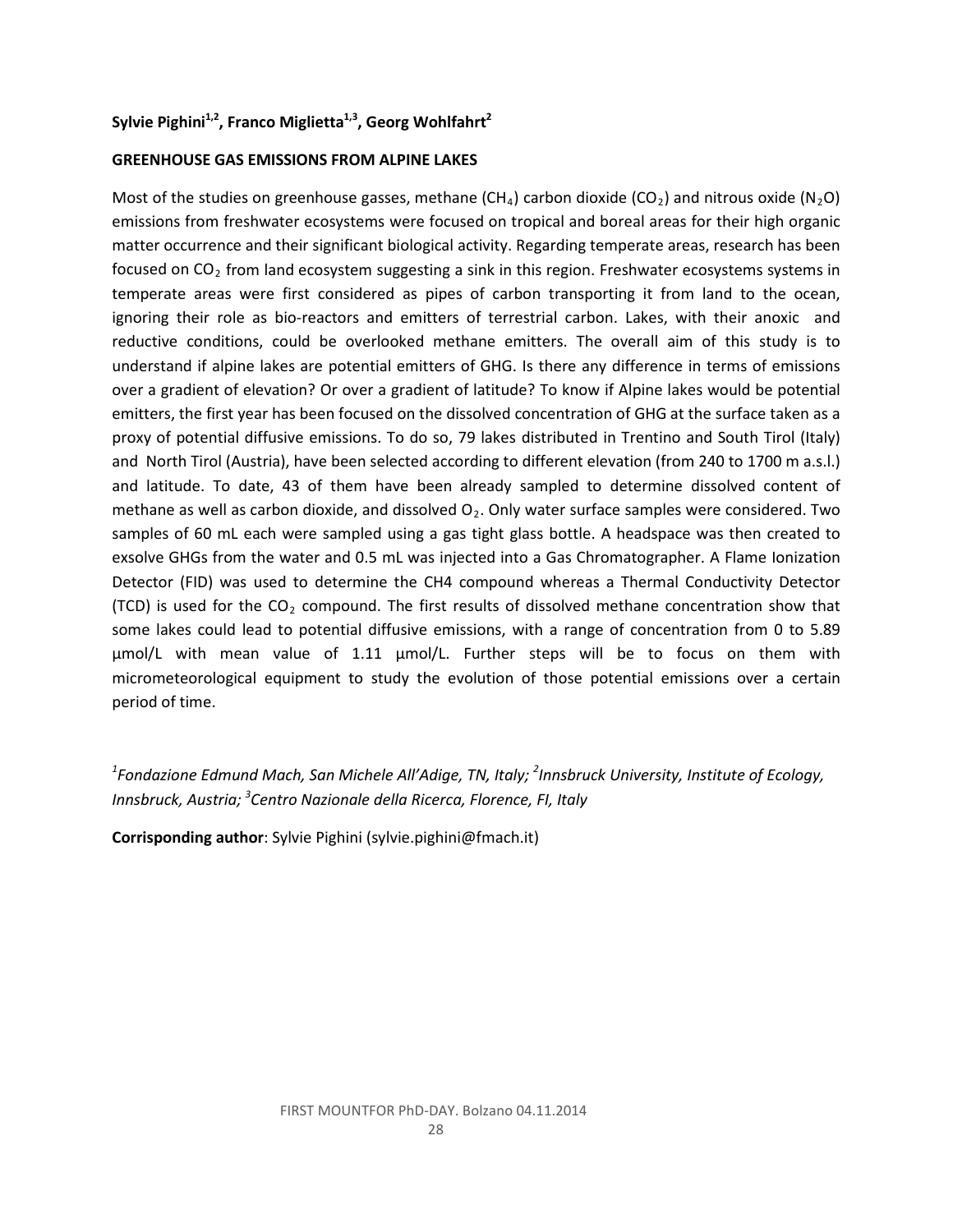#### Sylvie Pighini<sup>1,2</sup>, Franco Miglietta<sup>1,3</sup>, Georg Wohlfahrt<sup>2</sup>

#### **GREENHOUSE GAS EMISSIONS FROM ALPINE LAKES**

Most of the studies on greenhouse gasses, methane (CH<sub>4</sub>) carbon dioxide (CO<sub>2</sub>) and nitrous oxide (N<sub>2</sub>O) emissions from freshwater ecosystems were focused on tropical and boreal areas for their high organic matter occurrence and their significant biological activity. Regarding temperate areas, research has been focused on  $CO<sub>2</sub>$  from land ecosystem suggesting a sink in this region. Freshwater ecosystems systems in temperate areas were first considered as pipes of carbon transporting it from land to the ocean, ignoring their role as bio-reactors and emitters of terrestrial carbon. Lakes, with their anoxic and reductive conditions, could be overlooked methane emitters. The overall aim of this study is to understand if alpine lakes are potential emitters of GHG. Is there any difference in terms of emissions over a gradient of elevation? Or over a gradient of latitude? To know if Alpine lakes would be potential emitters, the first year has been focused on the dissolved concentration of GHG at the surface taken as a proxy of potential diffusive emissions. To do so, 79 lakes distributed in Trentino and South Tirol (Italy) and North Tirol (Austria), have been selected according to different elevation (from 240 to 1700 m a.s.l.) and latitude. To date, 43 of them have been already sampled to determine dissolved content of methane as well as carbon dioxide, and dissolved  $O_2$ . Only water surface samples were considered. Two samples of 60 mL each were sampled using a gas tight glass bottle. A headspace was then created to exsolve GHGs from the water and 0.5 mL was injected into a Gas Chromatographer. A Flame Ionization Detector (FID) was used to determine the CH4 compound whereas a Thermal Conductivity Detector (TCD) is used for the  $CO<sub>2</sub>$  compound. The first results of dissolved methane concentration show that some lakes could lead to potential diffusive emissions, with a range of concentration from 0 to 5.89 μmol/L with mean value of 1.11 μmol/L. Further steps will be to focus on them with micrometeorological equipment to study the evolution of those potential emissions over a certain period of time.

*1 Fondazione Edmund Mach, San Michele All'Adige, TN, Italy; 2 Innsbruck University, Institute of Ecology, Innsbruck, Austria; 3 Centro Nazionale della Ricerca, Florence, FI, Italy* 

**Corrisponding author**: Sylvie Pighini (sylvie.pighini@fmach.it)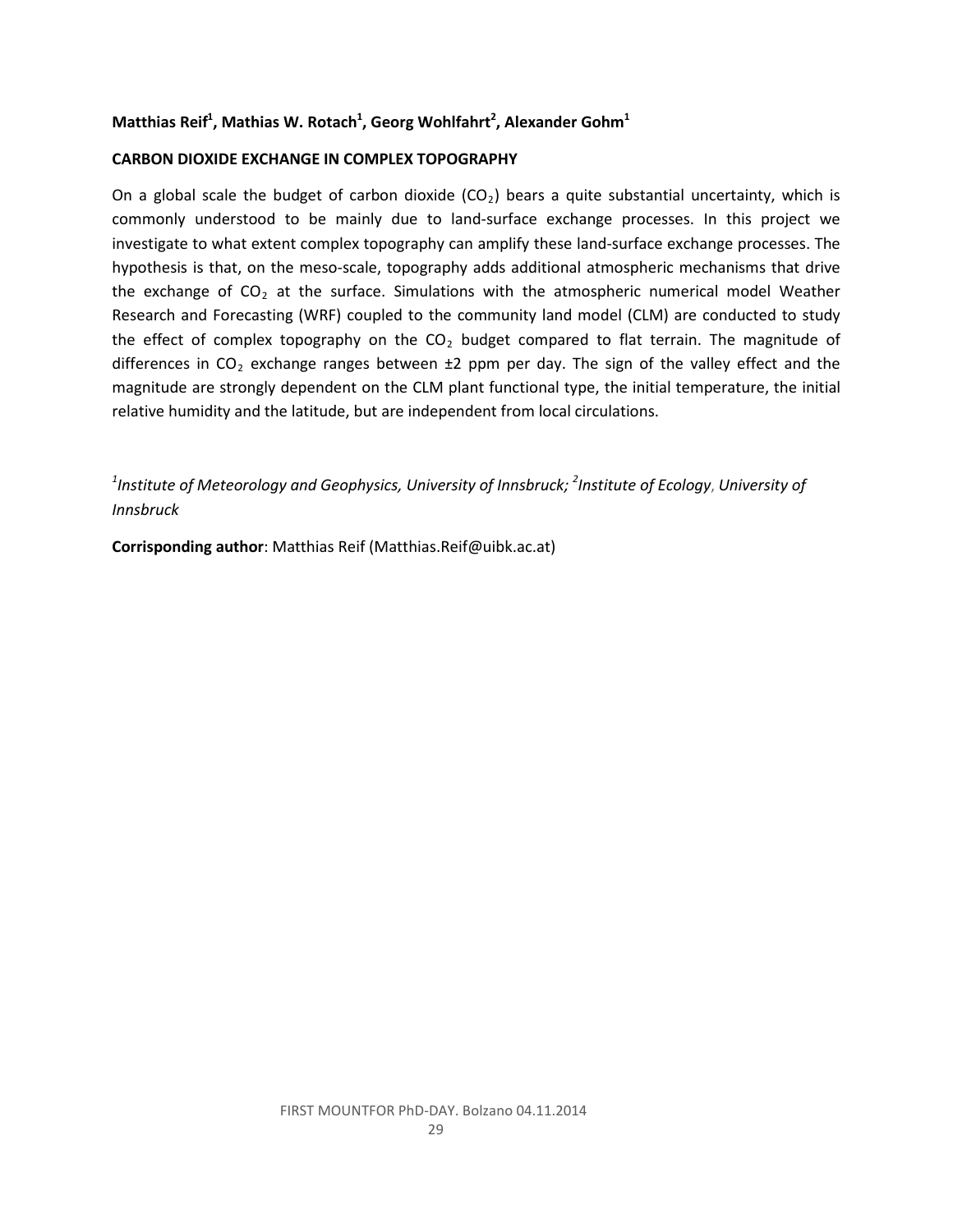#### $M$ atthias Reif<sup>1</sup>, Mathias W. Rotach<sup>1</sup>, Georg Wohlfahrt<sup>2</sup>, Alexander Gohm<sup>1</sup>

#### **CARBON DIOXIDE EXCHANGE IN COMPLEX TOPOGRAPHY**

On a global scale the budget of carbon dioxide  $(CO<sub>2</sub>)$  bears a quite substantial uncertainty, which is commonly understood to be mainly due to land-surface exchange processes. In this project we investigate to what extent complex topography can amplify these land-surface exchange processes. The hypothesis is that, on the meso-scale, topography adds additional atmospheric mechanisms that drive the exchange of  $CO<sub>2</sub>$  at the surface. Simulations with the atmospheric numerical model Weather Research and Forecasting (WRF) coupled to the community land model (CLM) are conducted to study the effect of complex topography on the  $CO<sub>2</sub>$  budget compared to flat terrain. The magnitude of differences in  $CO_2$  exchange ranges between  $\pm 2$  ppm per day. The sign of the valley effect and the magnitude are strongly dependent on the CLM plant functional type, the initial temperature, the initial relative humidity and the latitude, but are independent from local circulations.

*1 Institute of Meteorology and Geophysics, University of Innsbruck; 2 Institute of Ecology*, *University of Innsbruck*

**Corrisponding author**: Matthias Reif (Matthias.Reif@uibk.ac.at)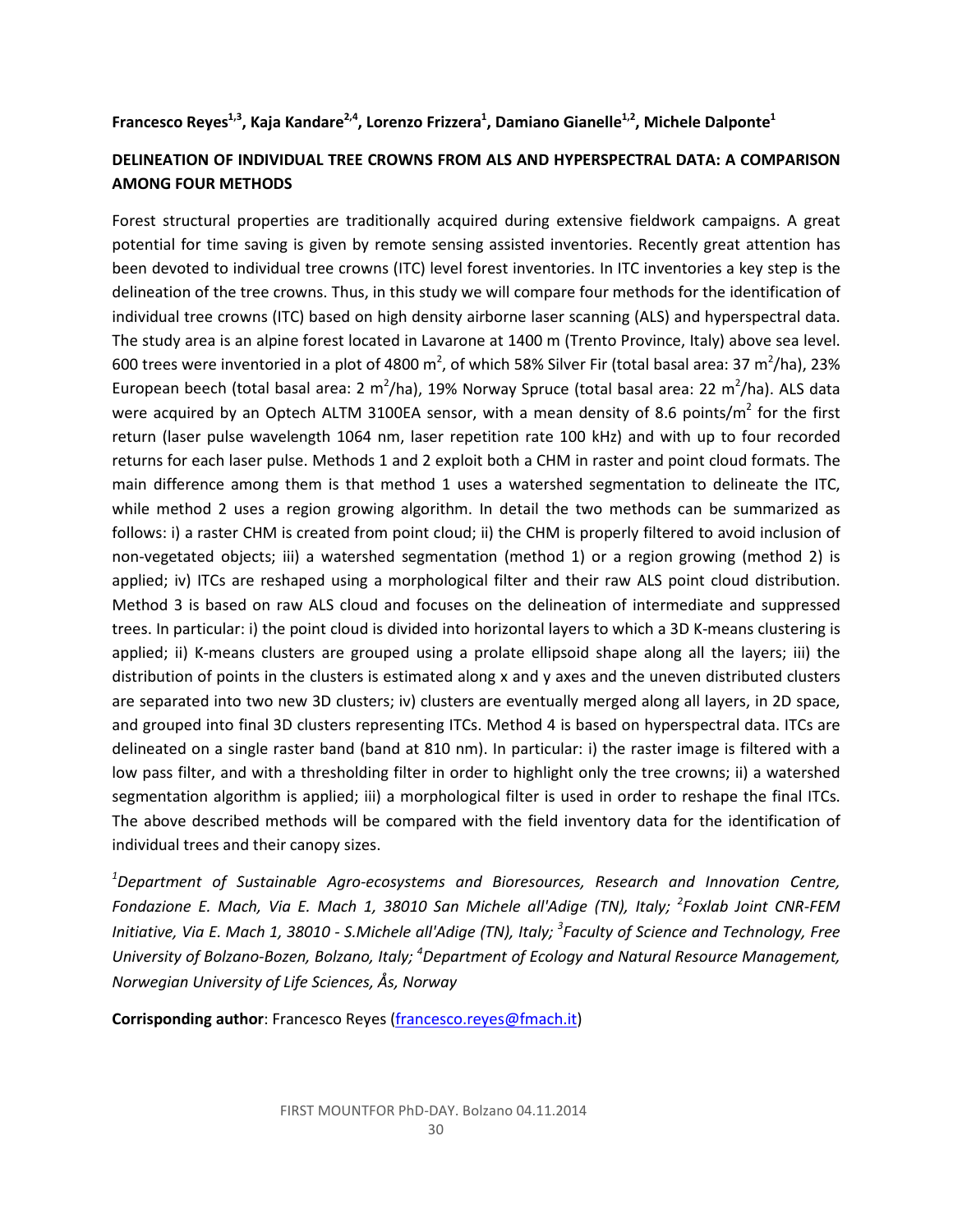#### Francesco Reyes<sup>1,3</sup>, Kaja Kandare<sup>2,4</sup>, Lorenzo Frizzera<sup>1</sup>, Damiano Gianelle<sup>1,2</sup>, Michele Dalponte<sup>1</sup>

#### **DELINEATION OF INDIVIDUAL TREE CROWNS FROM ALS AND HYPERSPECTRAL DATA: A COMPARISON AMONG FOUR METHODS**

Forest structural properties are traditionally acquired during extensive fieldwork campaigns. A great potential for time saving is given by remote sensing assisted inventories. Recently great attention has been devoted to individual tree crowns (ITC) level forest inventories. In ITC inventories a key step is the delineation of the tree crowns. Thus, in this study we will compare four methods for the identification of individual tree crowns (ITC) based on high density airborne laser scanning (ALS) and hyperspectral data. The study area is an alpine forest located in Lavarone at 1400 m (Trento Province, Italy) above sea level. 600 trees were inventoried in a plot of 4800 m<sup>2</sup>, of which 58% Silver Fir (total basal area: 37 m<sup>2</sup>/ha), 23% European beech (total basal area: 2 m<sup>2</sup>/ha), 19% Norway Spruce (total basal area: 22 m<sup>2</sup>/ha). ALS data were acquired by an Optech ALTM 3100EA sensor, with a mean density of 8.6 points/ $m^2$  for the first return (laser pulse wavelength 1064 nm, laser repetition rate 100 kHz) and with up to four recorded returns for each laser pulse. Methods 1 and 2 exploit both a CHM in raster and point cloud formats. The main difference among them is that method 1 uses a watershed segmentation to delineate the ITC, while method 2 uses a region growing algorithm. In detail the two methods can be summarized as follows: i) a raster CHM is created from point cloud; ii) the CHM is properly filtered to avoid inclusion of non-vegetated objects; iii) a watershed segmentation (method 1) or a region growing (method 2) is applied; iv) ITCs are reshaped using a morphological filter and their raw ALS point cloud distribution. Method 3 is based on raw ALS cloud and focuses on the delineation of intermediate and suppressed trees. In particular: i) the point cloud is divided into horizontal layers to which a 3D K-means clustering is applied; ii) K-means clusters are grouped using a prolate ellipsoid shape along all the layers; iii) the distribution of points in the clusters is estimated along x and y axes and the uneven distributed clusters are separated into two new 3D clusters; iv) clusters are eventually merged along all layers, in 2D space, and grouped into final 3D clusters representing ITCs. Method 4 is based on hyperspectral data. ITCs are delineated on a single raster band (band at 810 nm). In particular: i) the raster image is filtered with a low pass filter, and with a thresholding filter in order to highlight only the tree crowns; ii) a watershed segmentation algorithm is applied; iii) a morphological filter is used in order to reshape the final ITCs. The above described methods will be compared with the field inventory data for the identification of individual trees and their canopy sizes.

*1 Department of Sustainable Agro-ecosystems and Bioresources, Research and Innovation Centre, Fondazione E. Mach, Via E. Mach 1, 38010 San Michele all'Adige (TN), Italy; <sup>2</sup> Foxlab Joint CNR-FEM Initiative, Via E. Mach 1, 38010 - S.Michele all'Adige (TN), Italy; 3 Faculty of Science and Technology, Free University of Bolzano-Bozen, Bolzano, Italy; <sup>4</sup> Department of Ecology and Natural Resource Management, Norwegian University of Life Sciences, Ås, Norway*

**Corrisponding author**: Francesco Reyes [\(francesco.reyes@fmach.it\)](mailto:francesco.reyes@fmach.it)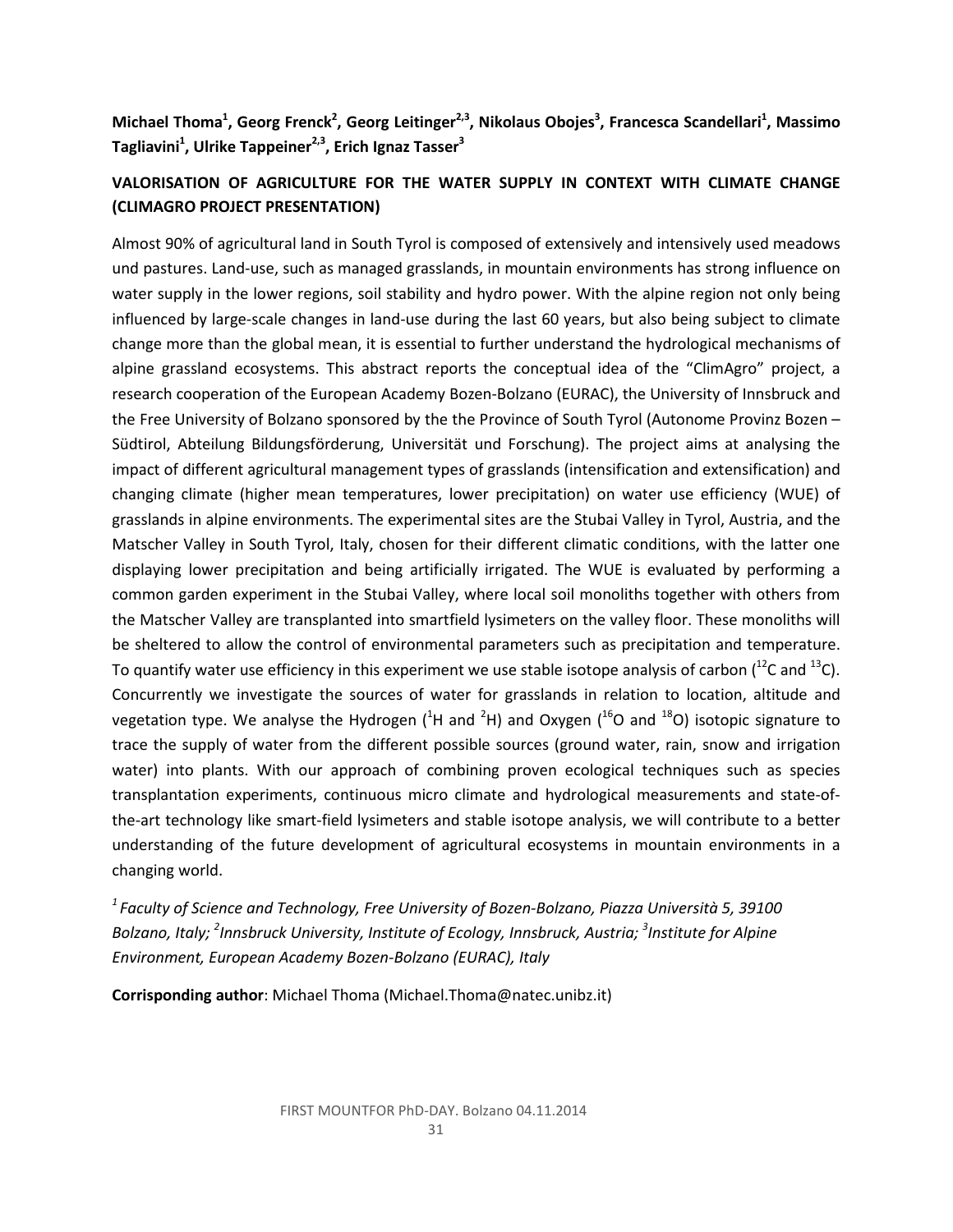Michael Thoma<sup>1</sup>, Georg Frenck<sup>2</sup>, Georg Leitinger<sup>2,3</sup>, Nikolaus Obojes<sup>3</sup>, Francesca Scandellari<sup>1</sup>, Massimo **Tagliavini1 , Ulrike Tappeiner2,3, Erich Ignaz Tasser3**

#### **VALORISATION OF AGRICULTURE FOR THE WATER SUPPLY IN CONTEXT WITH CLIMATE CHANGE (CLIMAGRO PROJECT PRESENTATION)**

Almost 90% of agricultural land in South Tyrol is composed of extensively and intensively used meadows und pastures. Land-use, such as managed grasslands, in mountain environments has strong influence on water supply in the lower regions, soil stability and hydro power. With the alpine region not only being influenced by large-scale changes in land-use during the last 60 years, but also being subject to climate change more than the global mean, it is essential to further understand the hydrological mechanisms of alpine grassland ecosystems. This abstract reports the conceptual idea of the "ClimAgro" project, a research cooperation of the European Academy Bozen-Bolzano (EURAC), the University of Innsbruck and the Free University of Bolzano sponsored by the the Province of South Tyrol (Autonome Provinz Bozen – Südtirol, Abteilung Bildungsförderung, Universität und Forschung). The project aims at analysing the impact of different agricultural management types of grasslands (intensification and extensification) and changing climate (higher mean temperatures, lower precipitation) on water use efficiency (WUE) of grasslands in alpine environments. The experimental sites are the Stubai Valley in Tyrol, Austria, and the Matscher Valley in South Tyrol, Italy, chosen for their different climatic conditions, with the latter one displaying lower precipitation and being artificially irrigated. The WUE is evaluated by performing a common garden experiment in the Stubai Valley, where local soil monoliths together with others from the Matscher Valley are transplanted into smartfield lysimeters on the valley floor. These monoliths will be sheltered to allow the control of environmental parameters such as precipitation and temperature. To quantify water use efficiency in this experiment we use stable isotope analysis of carbon  $(^{12}C$  and  $^{13}C$ ). Concurrently we investigate the sources of water for grasslands in relation to location, altitude and vegetation type. We analyse the Hydrogen ( ${}^{1}$ H and  ${}^{2}$ H) and Oxygen ( ${}^{16}$ O and  ${}^{18}$ O) isotopic signature to trace the supply of water from the different possible sources (ground water, rain, snow and irrigation water) into plants. With our approach of combining proven ecological techniques such as species transplantation experiments, continuous micro climate and hydrological measurements and state-ofthe-art technology like smart-field lysimeters and stable isotope analysis, we will contribute to a better understanding of the future development of agricultural ecosystems in mountain environments in a changing world.

*1 Faculty of Science and Technology, Free University of Bozen-Bolzano, Piazza Università 5, 39100 Bolzano, Italy; 2 Innsbruck University, Institute of Ecology, Innsbruck, Austria; 3 Institute for Alpine Environment, European Academy Bozen-Bolzano (EURAC), Italy*

**Corrisponding author**: Michael Thoma (Michael.Thoma@natec.unibz.it)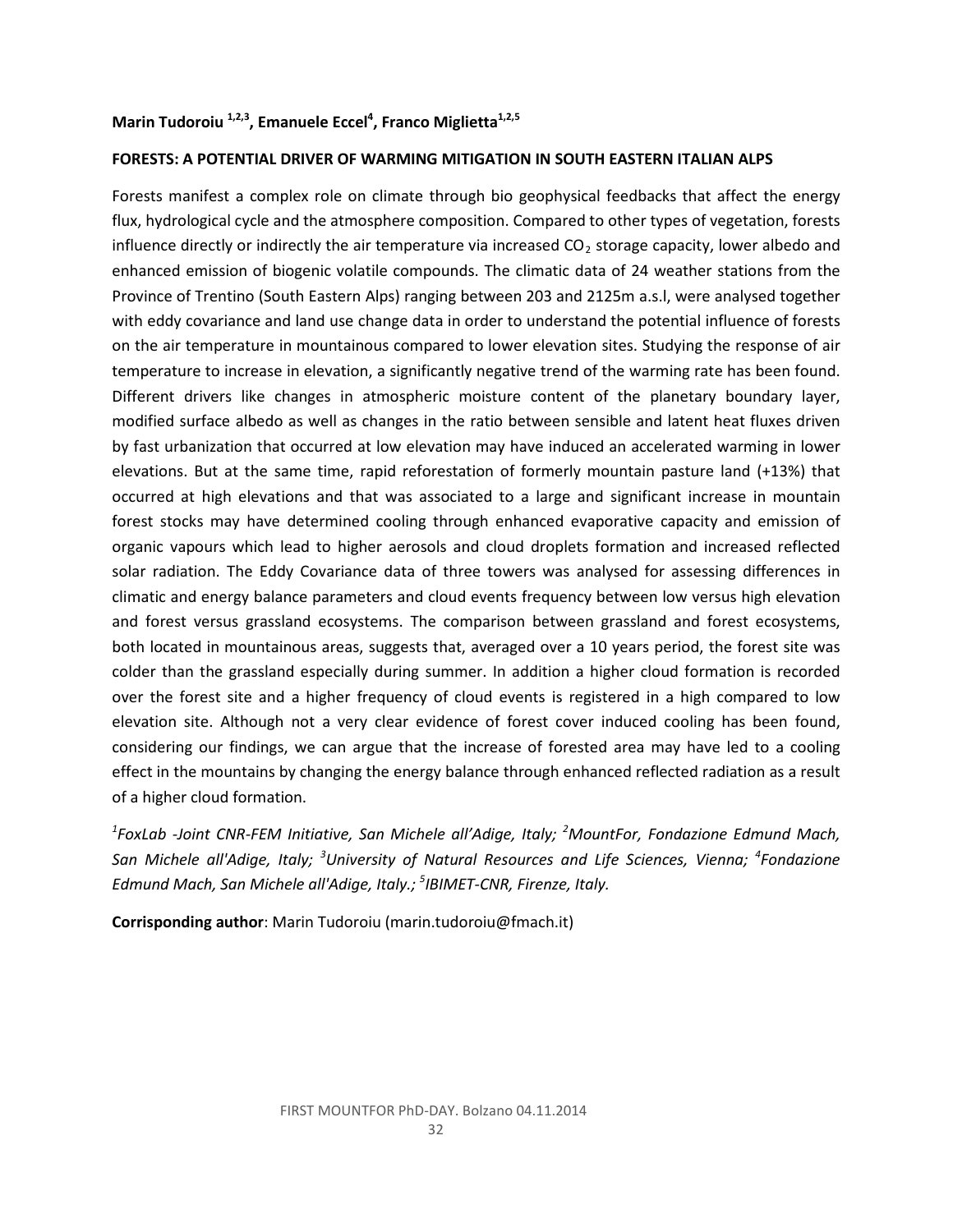#### Marin Tudoroiu <sup>1,2,3</sup>, Emanuele Eccel<sup>4</sup>, Franco Miglietta<sup>1,2,5</sup>

#### **FORESTS: A POTENTIAL DRIVER OF WARMING MITIGATION IN SOUTH EASTERN ITALIAN ALPS**

Forests manifest a complex role on climate through bio geophysical feedbacks that affect the energy flux, hydrological cycle and the atmosphere composition. Compared to other types of vegetation, forests influence directly or indirectly the air temperature via increased  $CO<sub>2</sub>$  storage capacity, lower albedo and enhanced emission of biogenic volatile compounds. The climatic data of 24 weather stations from the Province of Trentino (South Eastern Alps) ranging between 203 and 2125m a.s.l, were analysed together with eddy covariance and land use change data in order to understand the potential influence of forests on the air temperature in mountainous compared to lower elevation sites. Studying the response of air temperature to increase in elevation, a significantly negative trend of the warming rate has been found. Different drivers like changes in atmospheric moisture content of the planetary boundary layer, modified surface albedo as well as changes in the ratio between sensible and latent heat fluxes driven by fast urbanization that occurred at low elevation may have induced an accelerated warming in lower elevations. But at the same time, rapid reforestation of formerly mountain pasture land (+13%) that occurred at high elevations and that was associated to a large and significant increase in mountain forest stocks may have determined cooling through enhanced evaporative capacity and emission of organic vapours which lead to higher aerosols and cloud droplets formation and increased reflected solar radiation. The Eddy Covariance data of three towers was analysed for assessing differences in climatic and energy balance parameters and cloud events frequency between low versus high elevation and forest versus grassland ecosystems. The comparison between grassland and forest ecosystems, both located in mountainous areas, suggests that, averaged over a 10 years period, the forest site was colder than the grassland especially during summer. In addition a higher cloud formation is recorded over the forest site and a higher frequency of cloud events is registered in a high compared to low elevation site. Although not a very clear evidence of forest cover induced cooling has been found, considering our findings, we can argue that the increase of forested area may have led to a cooling effect in the mountains by changing the energy balance through enhanced reflected radiation as a result of a higher cloud formation.

*1 FoxLab -Joint CNR-FEM Initiative, San Michele all'Adige, Italy; <sup>2</sup> MountFor, Fondazione Edmund Mach, San Michele all'Adige, Italy; 3 University of Natural Resources and Life Sciences, Vienna; <sup>4</sup> Fondazione Edmund Mach, San Michele all'Adige, Italy.; 5 IBIMET-CNR, Firenze, Italy.*

**Corrisponding author**: Marin Tudoroiu (marin.tudoroiu@fmach.it)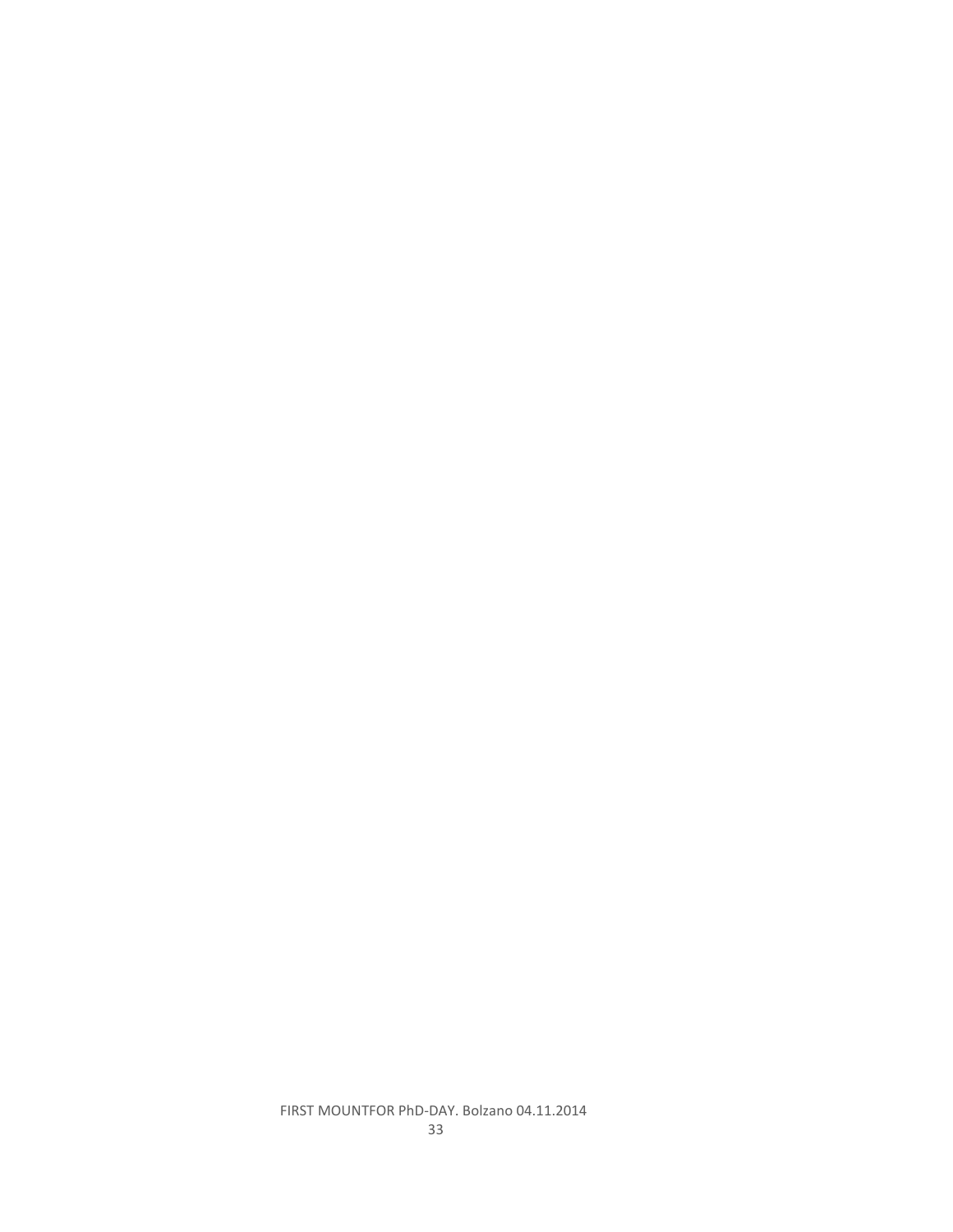FIRST MOUNTFOR PhD-DAY. Bolzano 04.11.2014 33